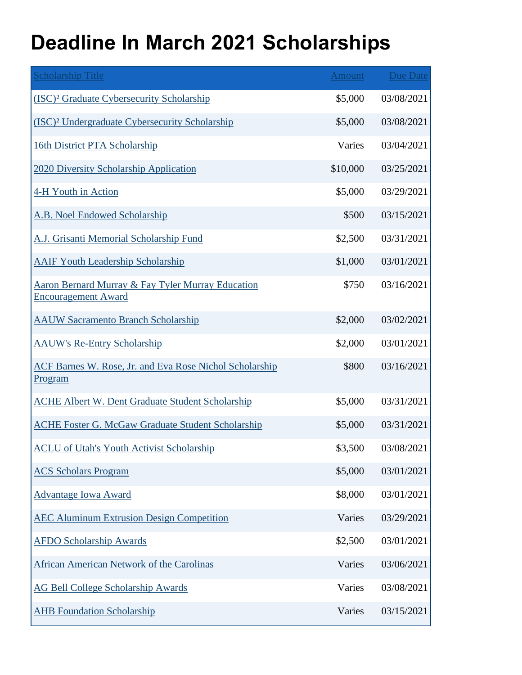## **Deadline In March 2021 Scholarships**

| <b>Scholarship Title</b>                                                                   | Amount   | <b>Due Date</b> |
|--------------------------------------------------------------------------------------------|----------|-----------------|
| (ISC) <sup>2</sup> Graduate Cybersecurity Scholarship                                      | \$5,000  | 03/08/2021      |
| (ISC) <sup>2</sup> Undergraduate Cybersecurity Scholarship                                 | \$5,000  | 03/08/2021      |
| <b>16th District PTA Scholarship</b>                                                       | Varies   | 03/04/2021      |
| 2020 Diversity Scholarship Application                                                     | \$10,000 | 03/25/2021      |
| 4-H Youth in Action                                                                        | \$5,000  | 03/29/2021      |
| A.B. Noel Endowed Scholarship                                                              | \$500    | 03/15/2021      |
| A.J. Grisanti Memorial Scholarship Fund                                                    | \$2,500  | 03/31/2021      |
| <b>AAIF Youth Leadership Scholarship</b>                                                   | \$1,000  | 03/01/2021      |
| <b>Aaron Bernard Murray &amp; Fay Tyler Murray Education</b><br><b>Encouragement Award</b> | \$750    | 03/16/2021      |
| <b>AAUW Sacramento Branch Scholarship</b>                                                  | \$2,000  | 03/02/2021      |
| <b>AAUW's Re-Entry Scholarship</b>                                                         | \$2,000  | 03/01/2021      |
| ACF Barnes W. Rose, Jr. and Eva Rose Nichol Scholarship<br><u>Program</u>                  | \$800    | 03/16/2021      |
| <b>ACHE Albert W. Dent Graduate Student Scholarship</b>                                    | \$5,000  | 03/31/2021      |
| <b>ACHE Foster G. McGaw Graduate Student Scholarship</b>                                   | \$5,000  | 03/31/2021      |
| <b>ACLU of Utah's Youth Activist Scholarship</b>                                           | \$3,500  | 03/08/2021      |
| <b>ACS Scholars Program</b>                                                                | \$5,000  | 03/01/2021      |
| <b>Advantage Iowa Award</b>                                                                | \$8,000  | 03/01/2021      |
| <b>AEC Aluminum Extrusion Design Competition</b>                                           | Varies   | 03/29/2021      |
| <b>AFDO Scholarship Awards</b>                                                             | \$2,500  | 03/01/2021      |
| <b>African American Network of the Carolinas</b>                                           | Varies   | 03/06/2021      |
| <b>AG Bell College Scholarship Awards</b>                                                  | Varies   | 03/08/2021      |
| <b>AHB</b> Foundation Scholarship                                                          | Varies   | 03/15/2021      |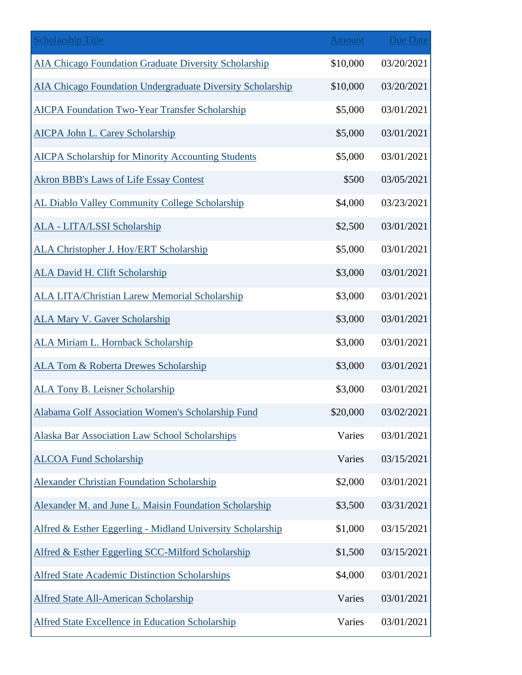| <b>Scholarship Title</b>                                   | <b>Amount</b> | <b>Due Date</b> |
|------------------------------------------------------------|---------------|-----------------|
| AIA Chicago Foundation Graduate Diversity Scholarship      | \$10,000      | 03/20/2021      |
| AIA Chicago Foundation Undergraduate Diversity Scholarship | \$10,000      | 03/20/2021      |
| <b>AICPA Foundation Two-Year Transfer Scholarship</b>      | \$5,000       | 03/01/2021      |
| <b>AICPA John L. Carey Scholarship</b>                     | \$5,000       | 03/01/2021      |
| <b>AICPA Scholarship for Minority Accounting Students</b>  | \$5,000       | 03/01/2021      |
| <b>Akron BBB's Laws of Life Essay Contest</b>              | \$500         | 03/05/2021      |
| AL Diablo Valley Community College Scholarship             | \$4,000       | 03/23/2021      |
| <b>ALA - LITA/LSSI Scholarship</b>                         | \$2,500       | 03/01/2021      |
| <b>ALA Christopher J. Hoy/ERT Scholarship</b>              | \$5,000       | 03/01/2021      |
| <b>ALA David H. Clift Scholarship</b>                      | \$3,000       | 03/01/2021      |
| <b>ALA LITA/Christian Larew Memorial Scholarship</b>       | \$3,000       | 03/01/2021      |
| <b>ALA Mary V. Gaver Scholarship</b>                       | \$3,000       | 03/01/2021      |
| <b>ALA Miriam L. Hornback Scholarship</b>                  | \$3,000       | 03/01/2021      |
| <b>ALA Tom &amp; Roberta Drewes Scholarship</b>            | \$3,000       | 03/01/2021      |
| <b>ALA Tony B. Leisner Scholarship</b>                     | \$3,000       | 03/01/2021      |
| <b>Alabama Golf Association Women's Scholarship Fund</b>   | \$20,000      | 03/02/2021      |
| <b>Alaska Bar Association Law School Scholarships</b>      | Varies        | 03/01/2021      |
| <b>ALCOA Fund Scholarship</b>                              | Varies        | 03/15/2021      |
| <b>Alexander Christian Foundation Scholarship</b>          | \$2,000       | 03/01/2021      |
| Alexander M. and June L. Maisin Foundation Scholarship     | \$3,500       | 03/31/2021      |
| Alfred & Esther Eggerling - Midland University Scholarship | \$1,000       | 03/15/2021      |
| Alfred & Esther Eggerling SCC-Milford Scholarship          | \$1,500       | 03/15/2021      |
| <b>Alfred State Academic Distinction Scholarships</b>      | \$4,000       | 03/01/2021      |
| <b>Alfred State All-American Scholarship</b>               | Varies        | 03/01/2021      |
| <b>Alfred State Excellence in Education Scholarship</b>    | Varies        | 03/01/2021      |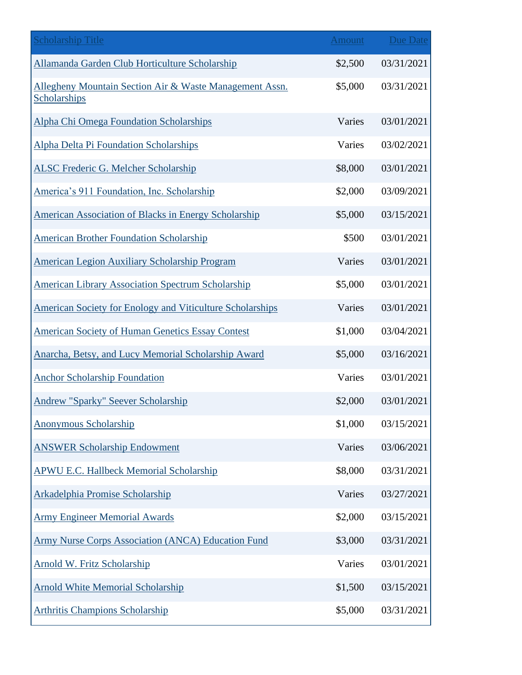| <b>Scholarship Title</b>                                                | <b>Amount</b> | <b>Due Date</b> |
|-------------------------------------------------------------------------|---------------|-----------------|
| Allamanda Garden Club Horticulture Scholarship                          | \$2,500       | 03/31/2021      |
| Allegheny Mountain Section Air & Waste Management Assn.<br>Scholarships | \$5,000       | 03/31/2021      |
| <b>Alpha Chi Omega Foundation Scholarships</b>                          | Varies        | 03/01/2021      |
| Alpha Delta Pi Foundation Scholarships                                  | Varies        | 03/02/2021      |
| <b>ALSC Frederic G. Melcher Scholarship</b>                             | \$8,000       | 03/01/2021      |
| America's 911 Foundation, Inc. Scholarship                              | \$2,000       | 03/09/2021      |
| American Association of Blacks in Energy Scholarship                    | \$5,000       | 03/15/2021      |
| <b>American Brother Foundation Scholarship</b>                          | \$500         | 03/01/2021      |
| <b>American Legion Auxiliary Scholarship Program</b>                    | Varies        | 03/01/2021      |
| <b>American Library Association Spectrum Scholarship</b>                | \$5,000       | 03/01/2021      |
| <b>American Society for Enology and Viticulture Scholarships</b>        | Varies        | 03/01/2021      |
| <b>American Society of Human Genetics Essay Contest</b>                 | \$1,000       | 03/04/2021      |
| Anarcha, Betsy, and Lucy Memorial Scholarship Award                     | \$5,000       | 03/16/2021      |
| <b>Anchor Scholarship Foundation</b>                                    | Varies        | 03/01/2021      |
| <b>Andrew "Sparky" Seever Scholarship</b>                               | \$2,000       | 03/01/2021      |
| Anonymous Scholarship                                                   | \$1,000       | 03/15/2021      |
| <b>ANSWER Scholarship Endowment</b>                                     | Varies        | 03/06/2021      |
| <b>APWU E.C. Hallbeck Memorial Scholarship</b>                          | \$8,000       | 03/31/2021      |
| <b>Arkadelphia Promise Scholarship</b>                                  | Varies        | 03/27/2021      |
| <b>Army Engineer Memorial Awards</b>                                    | \$2,000       | 03/15/2021      |
| <b>Army Nurse Corps Association (ANCA) Education Fund</b>               | \$3,000       | 03/31/2021      |
| Arnold W. Fritz Scholarship                                             | Varies        | 03/01/2021      |
| <b>Arnold White Memorial Scholarship</b>                                | \$1,500       | 03/15/2021      |
| <b>Arthritis Champions Scholarship</b>                                  | \$5,000       | 03/31/2021      |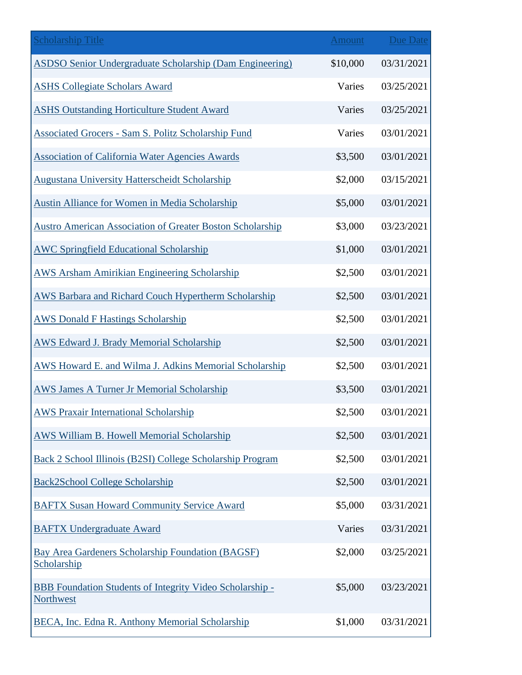| <b>Scholarship Title</b>                                                     | <b>Amount</b> | <b>Due Date</b> |
|------------------------------------------------------------------------------|---------------|-----------------|
| ASDSO Senior Undergraduate Scholarship (Dam Engineering)                     | \$10,000      | 03/31/2021      |
| <b>ASHS Collegiate Scholars Award</b>                                        | Varies        | 03/25/2021      |
| <b>ASHS Outstanding Horticulture Student Award</b>                           | Varies        | 03/25/2021      |
| <b>Associated Grocers - Sam S. Politz Scholarship Fund</b>                   | Varies        | 03/01/2021      |
| <b>Association of California Water Agencies Awards</b>                       | \$3,500       | 03/01/2021      |
| <b>Augustana University Hatterscheidt Scholarship</b>                        | \$2,000       | 03/15/2021      |
| <b>Austin Alliance for Women in Media Scholarship</b>                        | \$5,000       | 03/01/2021      |
| <b>Austro American Association of Greater Boston Scholarship</b>             | \$3,000       | 03/23/2021      |
| <b>AWC Springfield Educational Scholarship</b>                               | \$1,000       | 03/01/2021      |
| <b>AWS Arsham Amirikian Engineering Scholarship</b>                          | \$2,500       | 03/01/2021      |
| <b>AWS Barbara and Richard Couch Hypertherm Scholarship</b>                  | \$2,500       | 03/01/2021      |
| <b>AWS Donald F Hastings Scholarship</b>                                     | \$2,500       | 03/01/2021      |
| <b>AWS Edward J. Brady Memorial Scholarship</b>                              | \$2,500       | 03/01/2021      |
| AWS Howard E. and Wilma J. Adkins Memorial Scholarship                       | \$2,500       | 03/01/2021      |
| <b>AWS James A Turner Jr Memorial Scholarship</b>                            | \$3,500       | 03/01/2021      |
| <b>AWS Praxair International Scholarship</b>                                 | \$2,500       | 03/01/2021      |
| <b>AWS William B. Howell Memorial Scholarship</b>                            | \$2,500       | 03/01/2021      |
| Back 2 School Illinois (B2SI) College Scholarship Program                    | \$2,500       | 03/01/2021      |
| <b>Back2School College Scholarship</b>                                       | \$2,500       | 03/01/2021      |
| <b>BAFTX Susan Howard Community Service Award</b>                            | \$5,000       | 03/31/2021      |
| <b>BAFTX Undergraduate Award</b>                                             | Varies        | 03/31/2021      |
| <b>Bay Area Gardeners Scholarship Foundation (BAGSF)</b><br>Scholarship      | \$2,000       | 03/25/2021      |
| <b>BBB Foundation Students of Integrity Video Scholarship -</b><br>Northwest | \$5,000       | 03/23/2021      |
| BECA, Inc. Edna R. Anthony Memorial Scholarship                              | \$1,000       | 03/31/2021      |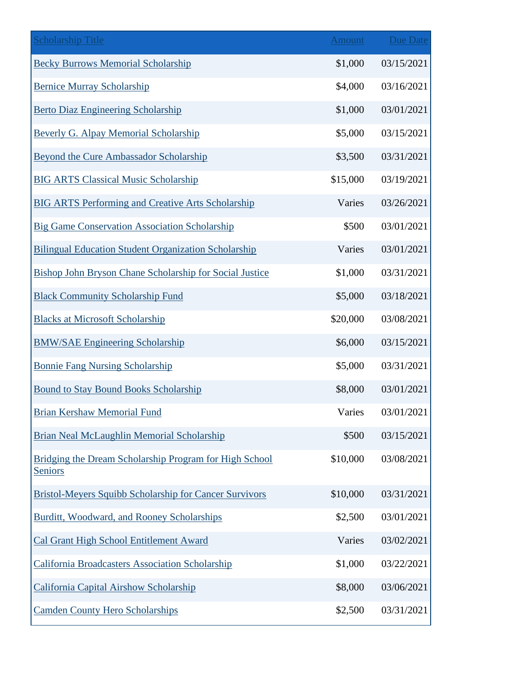| <b>Scholarship Title</b>                                                 | Amount   | <b>Due Date</b> |
|--------------------------------------------------------------------------|----------|-----------------|
| <b>Becky Burrows Memorial Scholarship</b>                                | \$1,000  | 03/15/2021      |
| <b>Bernice Murray Scholarship</b>                                        | \$4,000  | 03/16/2021      |
| <b>Berto Diaz Engineering Scholarship</b>                                | \$1,000  | 03/01/2021      |
| <b>Beverly G. Alpay Memorial Scholarship</b>                             | \$5,000  | 03/15/2021      |
| <b>Beyond the Cure Ambassador Scholarship</b>                            | \$3,500  | 03/31/2021      |
| <b>BIG ARTS Classical Music Scholarship</b>                              | \$15,000 | 03/19/2021      |
| <b>BIG ARTS Performing and Creative Arts Scholarship</b>                 | Varies   | 03/26/2021      |
| <b>Big Game Conservation Association Scholarship</b>                     | \$500    | 03/01/2021      |
| <b>Bilingual Education Student Organization Scholarship</b>              | Varies   | 03/01/2021      |
| Bishop John Bryson Chane Scholarship for Social Justice                  | \$1,000  | 03/31/2021      |
| <b>Black Community Scholarship Fund</b>                                  | \$5,000  | 03/18/2021      |
| <b>Blacks at Microsoft Scholarship</b>                                   | \$20,000 | 03/08/2021      |
| <b>BMW/SAE Engineering Scholarship</b>                                   | \$6,000  | 03/15/2021      |
| <b>Bonnie Fang Nursing Scholarship</b>                                   | \$5,000  | 03/31/2021      |
| <b>Bound to Stay Bound Books Scholarship</b>                             | \$8,000  | 03/01/2021      |
| <b>Brian Kershaw Memorial Fund</b>                                       | Varies   | 03/01/2021      |
| Brian Neal McLaughlin Memorial Scholarship                               | \$500    | 03/15/2021      |
| Bridging the Dream Scholarship Program for High School<br><b>Seniors</b> | \$10,000 | 03/08/2021      |
| <b>Bristol-Meyers Squibb Scholarship for Cancer Survivors</b>            | \$10,000 | 03/31/2021      |
| Burditt, Woodward, and Rooney Scholarships                               | \$2,500  | 03/01/2021      |
| <b>Cal Grant High School Entitlement Award</b>                           | Varies   | 03/02/2021      |
| <b>California Broadcasters Association Scholarship</b>                   | \$1,000  | 03/22/2021      |
| <b>California Capital Airshow Scholarship</b>                            | \$8,000  | 03/06/2021      |
| <b>Camden County Hero Scholarships</b>                                   | \$2,500  | 03/31/2021      |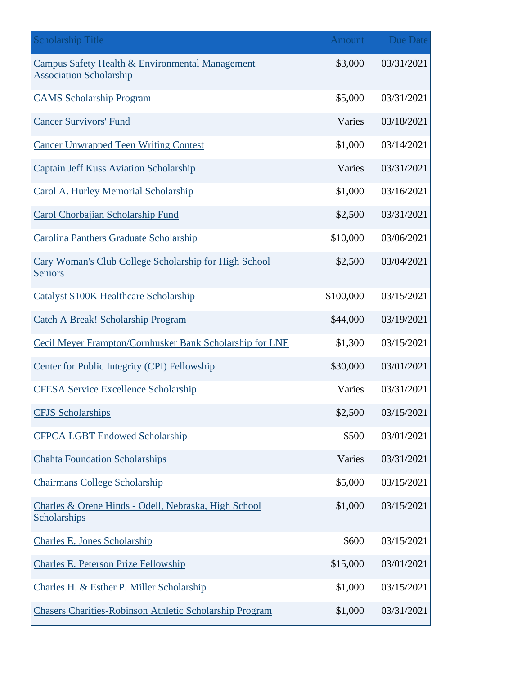| <b>Scholarship Title</b>                                                                     | <b>Amount</b> | <b>Due Date</b> |
|----------------------------------------------------------------------------------------------|---------------|-----------------|
| <b>Campus Safety Health &amp; Environmental Management</b><br><b>Association Scholarship</b> | \$3,000       | 03/31/2021      |
| <b>CAMS Scholarship Program</b>                                                              | \$5,000       | 03/31/2021      |
| <b>Cancer Survivors' Fund</b>                                                                | Varies        | 03/18/2021      |
| <b>Cancer Unwrapped Teen Writing Contest</b>                                                 | \$1,000       | 03/14/2021      |
| <b>Captain Jeff Kuss Aviation Scholarship</b>                                                | Varies        | 03/31/2021      |
| Carol A. Hurley Memorial Scholarship                                                         | \$1,000       | 03/16/2021      |
| Carol Chorbajian Scholarship Fund                                                            | \$2,500       | 03/31/2021      |
| <b>Carolina Panthers Graduate Scholarship</b>                                                | \$10,000      | 03/06/2021      |
| Cary Woman's Club College Scholarship for High School<br><b>Seniors</b>                      | \$2,500       | 03/04/2021      |
| <b>Catalyst \$100K Healthcare Scholarship</b>                                                | \$100,000     | 03/15/2021      |
| <b>Catch A Break! Scholarship Program</b>                                                    | \$44,000      | 03/19/2021      |
| Cecil Meyer Frampton/Cornhusker Bank Scholarship for LNE                                     | \$1,300       | 03/15/2021      |
| <b>Center for Public Integrity (CPI) Fellowship</b>                                          | \$30,000      | 03/01/2021      |
| <b>CFESA Service Excellence Scholarship</b>                                                  | Varies        | 03/31/2021      |
| <b>CFJS</b> Scholarships                                                                     | \$2,500       | 03/15/2021      |
| <b>CFPCA LGBT Endowed Scholarship</b>                                                        | \$500         | 03/01/2021      |
| <b>Chahta Foundation Scholarships</b>                                                        | Varies        | 03/31/2021      |
| <b>Chairmans College Scholarship</b>                                                         | \$5,000       | 03/15/2021      |
| Charles & Orene Hinds - Odell, Nebraska, High School<br>Scholarships                         | \$1,000       | 03/15/2021      |
| <b>Charles E. Jones Scholarship</b>                                                          | \$600         | 03/15/2021      |
| <b>Charles E. Peterson Prize Fellowship</b>                                                  | \$15,000      | 03/01/2021      |
| Charles H. & Esther P. Miller Scholarship                                                    | \$1,000       | 03/15/2021      |
| <b>Chasers Charities-Robinson Athletic Scholarship Program</b>                               | \$1,000       | 03/31/2021      |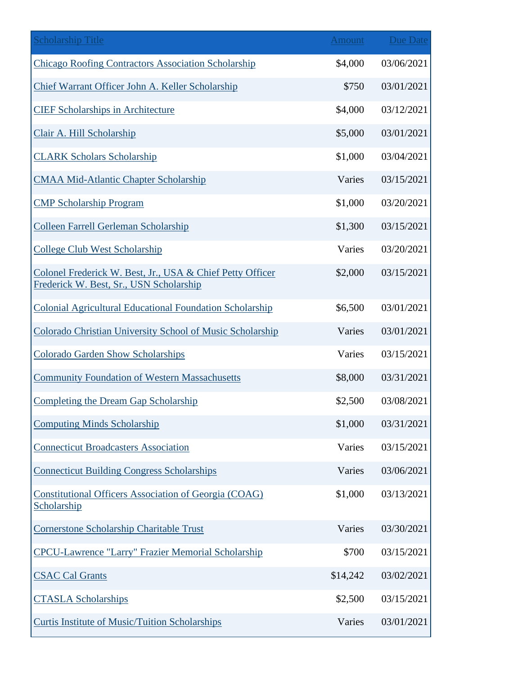| <b>Scholarship Title</b>                                                                             | <b>Amount</b> | <b>Due Date</b> |
|------------------------------------------------------------------------------------------------------|---------------|-----------------|
| <b>Chicago Roofing Contractors Association Scholarship</b>                                           | \$4,000       | 03/06/2021      |
| Chief Warrant Officer John A. Keller Scholarship                                                     | \$750         | 03/01/2021      |
| <b>CIEF Scholarships in Architecture</b>                                                             | \$4,000       | 03/12/2021      |
| Clair A. Hill Scholarship                                                                            | \$5,000       | 03/01/2021      |
| <b>CLARK Scholars Scholarship</b>                                                                    | \$1,000       | 03/04/2021      |
| <b>CMAA Mid-Atlantic Chapter Scholarship</b>                                                         | Varies        | 03/15/2021      |
| <b>CMP Scholarship Program</b>                                                                       | \$1,000       | 03/20/2021      |
| <b>Colleen Farrell Gerleman Scholarship</b>                                                          | \$1,300       | 03/15/2021      |
| <b>College Club West Scholarship</b>                                                                 | Varies        | 03/20/2021      |
| Colonel Frederick W. Best, Jr., USA & Chief Petty Officer<br>Frederick W. Best, Sr., USN Scholarship | \$2,000       | 03/15/2021      |
| <b>Colonial Agricultural Educational Foundation Scholarship</b>                                      | \$6,500       | 03/01/2021      |
| Colorado Christian University School of Music Scholarship                                            | Varies        | 03/01/2021      |
| <b>Colorado Garden Show Scholarships</b>                                                             | Varies        | 03/15/2021      |
| <b>Community Foundation of Western Massachusetts</b>                                                 | \$8,000       | 03/31/2021      |
| <b>Completing the Dream Gap Scholarship</b>                                                          | \$2,500       | 03/08/2021      |
| <b>Computing Minds Scholarship</b>                                                                   | \$1,000       | 03/31/2021      |
| <b>Connecticut Broadcasters Association</b>                                                          | Varies        | 03/15/2021      |
| <b>Connecticut Building Congress Scholarships</b>                                                    | Varies        | 03/06/2021      |
| <b>Constitutional Officers Association of Georgia (COAG)</b><br>Scholarship                          | \$1,000       | 03/13/2021      |
| Cornerstone Scholarship Charitable Trust                                                             | Varies        | 03/30/2021      |
| <b>CPCU-Lawrence "Larry" Frazier Memorial Scholarship</b>                                            | \$700         | 03/15/2021      |
| <b>CSAC Cal Grants</b>                                                                               | \$14,242      | 03/02/2021      |
| <b>CTASLA Scholarships</b>                                                                           | \$2,500       | 03/15/2021      |
| <b>Curtis Institute of Music/Tuition Scholarships</b>                                                | Varies        | 03/01/2021      |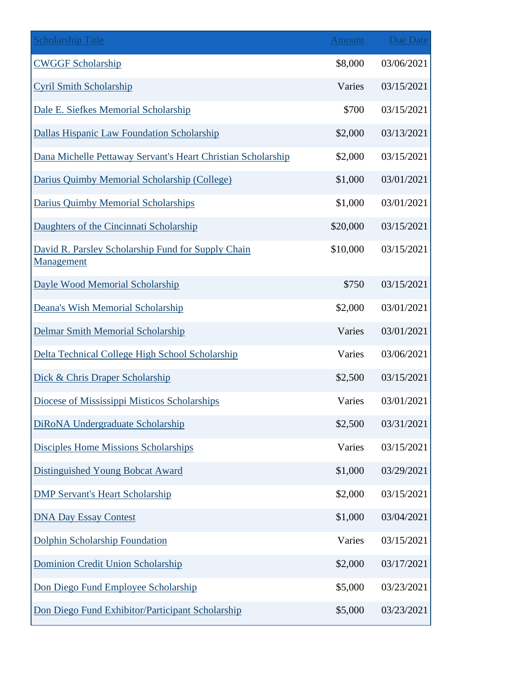| <b>Scholarship Title</b>                                         | <b>Amount</b> | <b>Due Date</b> |
|------------------------------------------------------------------|---------------|-----------------|
| <b>CWGGF Scholarship</b>                                         | \$8,000       | 03/06/2021      |
| <b>Cyril Smith Scholarship</b>                                   | Varies        | 03/15/2021      |
| Dale E. Siefkes Memorial Scholarship                             | \$700         | 03/15/2021      |
| Dallas Hispanic Law Foundation Scholarship                       | \$2,000       | 03/13/2021      |
| Dana Michelle Pettaway Servant's Heart Christian Scholarship     | \$2,000       | 03/15/2021      |
| Darius Quimby Memorial Scholarship (College)                     | \$1,000       | 03/01/2021      |
| Darius Quimby Memorial Scholarships                              | \$1,000       | 03/01/2021      |
| Daughters of the Cincinnati Scholarship                          | \$20,000      | 03/15/2021      |
| David R. Parsley Scholarship Fund for Supply Chain<br>Management | \$10,000      | 03/15/2021      |
| Dayle Wood Memorial Scholarship                                  | \$750         | 03/15/2021      |
| Deana's Wish Memorial Scholarship                                | \$2,000       | 03/01/2021      |
| <b>Delmar Smith Memorial Scholarship</b>                         | Varies        | 03/01/2021      |
| Delta Technical College High School Scholarship                  | Varies        | 03/06/2021      |
| Dick & Chris Draper Scholarship                                  | \$2,500       | 03/15/2021      |
| Diocese of Mississippi Misticos Scholarships                     | Varies        | 03/01/2021      |
| DiRoNA Undergraduate Scholarship                                 | \$2,500       | 03/31/2021      |
| <b>Disciples Home Missions Scholarships</b>                      | Varies        | 03/15/2021      |
| <b>Distinguished Young Bobcat Award</b>                          | \$1,000       | 03/29/2021      |
| <b>DMP Servant's Heart Scholarship</b>                           | \$2,000       | 03/15/2021      |
| <b>DNA Day Essay Contest</b>                                     | \$1,000       | 03/04/2021      |
| Dolphin Scholarship Foundation                                   | Varies        | 03/15/2021      |
| Dominion Credit Union Scholarship                                | \$2,000       | 03/17/2021      |
| Don Diego Fund Employee Scholarship                              | \$5,000       | 03/23/2021      |
| Don Diego Fund Exhibitor/Participant Scholarship                 | \$5,000       | 03/23/2021      |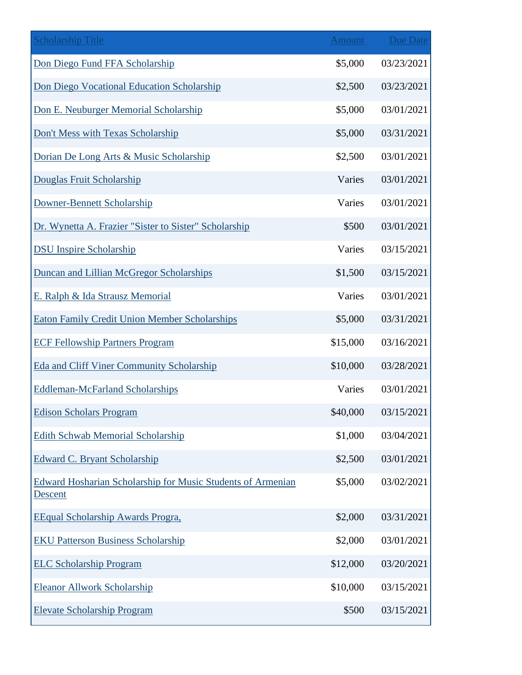| <b>Scholarship Title</b>                                               | Amount   | <b>Due Date</b> |
|------------------------------------------------------------------------|----------|-----------------|
| Don Diego Fund FFA Scholarship                                         | \$5,000  | 03/23/2021      |
| Don Diego Vocational Education Scholarship                             | \$2,500  | 03/23/2021      |
| Don E. Neuburger Memorial Scholarship                                  | \$5,000  | 03/01/2021      |
| Don't Mess with Texas Scholarship                                      | \$5,000  | 03/31/2021      |
| Dorian De Long Arts & Music Scholarship                                | \$2,500  | 03/01/2021      |
| Douglas Fruit Scholarship                                              | Varies   | 03/01/2021      |
| Downer-Bennett Scholarship                                             | Varies   | 03/01/2021      |
| Dr. Wynetta A. Frazier "Sister to Sister" Scholarship                  | \$500    | 03/01/2021      |
| <b>DSU</b> Inspire Scholarship                                         | Varies   | 03/15/2021      |
| Duncan and Lillian McGregor Scholarships                               | \$1,500  | 03/15/2021      |
| E. Ralph & Ida Strausz Memorial                                        | Varies   | 03/01/2021      |
| <b>Eaton Family Credit Union Member Scholarships</b>                   | \$5,000  | 03/31/2021      |
| <b>ECF Fellowship Partners Program</b>                                 | \$15,000 | 03/16/2021      |
| Eda and Cliff Viner Community Scholarship                              | \$10,000 | 03/28/2021      |
| <b>Eddleman-McFarland Scholarships</b>                                 | Varies   | 03/01/2021      |
| <b>Edison Scholars Program</b>                                         | \$40,000 | 03/15/2021      |
| <b>Edith Schwab Memorial Scholarship</b>                               | \$1,000  | 03/04/2021      |
| <b>Edward C. Bryant Scholarship</b>                                    | \$2,500  | 03/01/2021      |
| Edward Hosharian Scholarship for Music Students of Armenian<br>Descent | \$5,000  | 03/02/2021      |
| <b>EEqual Scholarship Awards Progra,</b>                               | \$2,000  | 03/31/2021      |
| <b>EKU Patterson Business Scholarship</b>                              | \$2,000  | 03/01/2021      |
| <b>ELC Scholarship Program</b>                                         | \$12,000 | 03/20/2021      |
| <b>Eleanor Allwork Scholarship</b>                                     | \$10,000 | 03/15/2021      |
| <b>Elevate Scholarship Program</b>                                     | \$500    | 03/15/2021      |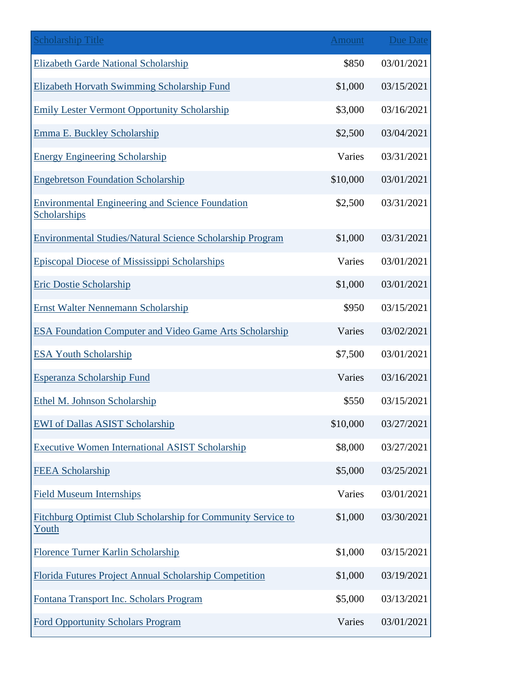| <b>Scholarship Title</b>                                                     | <b>Amount</b> | <b>Due Date</b> |
|------------------------------------------------------------------------------|---------------|-----------------|
| <b>Elizabeth Garde National Scholarship</b>                                  | \$850         | 03/01/2021      |
| Elizabeth Horvath Swimming Scholarship Fund                                  | \$1,000       | 03/15/2021      |
| <b>Emily Lester Vermont Opportunity Scholarship</b>                          | \$3,000       | 03/16/2021      |
| Emma E. Buckley Scholarship                                                  | \$2,500       | 03/04/2021      |
| <b>Energy Engineering Scholarship</b>                                        | Varies        | 03/31/2021      |
| <b>Engebretson Foundation Scholarship</b>                                    | \$10,000      | 03/01/2021      |
| <b>Environmental Engineering and Science Foundation</b><br>Scholarships      | \$2,500       | 03/31/2021      |
| <b>Environmental Studies/Natural Science Scholarship Program</b>             | \$1,000       | 03/31/2021      |
| <b>Episcopal Diocese of Mississippi Scholarships</b>                         | Varies        | 03/01/2021      |
| <b>Eric Dostie Scholarship</b>                                               | \$1,000       | 03/01/2021      |
| <b>Ernst Walter Nennemann Scholarship</b>                                    | \$950         | 03/15/2021      |
| <b>ESA Foundation Computer and Video Game Arts Scholarship</b>               | Varies        | 03/02/2021      |
| <b>ESA Youth Scholarship</b>                                                 | \$7,500       | 03/01/2021      |
| <b>Esperanza Scholarship Fund</b>                                            | Varies        | 03/16/2021      |
| Ethel M. Johnson Scholarship                                                 | \$550         | 03/15/2021      |
| <b>EWI</b> of Dallas ASIST Scholarship                                       | \$10,000      | 03/27/2021      |
| <b>Executive Women International ASIST Scholarship</b>                       | \$8,000       | 03/27/2021      |
| <b>FEEA Scholarship</b>                                                      | \$5,000       | 03/25/2021      |
| <b>Field Museum Internships</b>                                              | Varies        | 03/01/2021      |
| <b>Fitchburg Optimist Club Scholarship for Community Service to</b><br>Youth | \$1,000       | 03/30/2021      |
| Florence Turner Karlin Scholarship                                           | \$1,000       | 03/15/2021      |
| Florida Futures Project Annual Scholarship Competition                       | \$1,000       | 03/19/2021      |
| Fontana Transport Inc. Scholars Program                                      | \$5,000       | 03/13/2021      |
| <b>Ford Opportunity Scholars Program</b>                                     | Varies        | 03/01/2021      |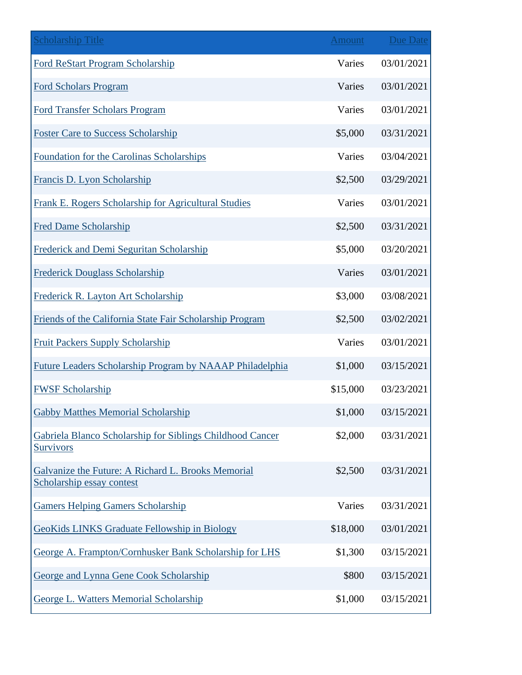| <b>Scholarship Title</b>                                                        | <b>Amount</b> | <b>Due Date</b> |
|---------------------------------------------------------------------------------|---------------|-----------------|
| Ford ReStart Program Scholarship                                                | Varies        | 03/01/2021      |
| <b>Ford Scholars Program</b>                                                    | Varies        | 03/01/2021      |
| <b>Ford Transfer Scholars Program</b>                                           | Varies        | 03/01/2021      |
| <b>Foster Care to Success Scholarship</b>                                       | \$5,000       | 03/31/2021      |
| Foundation for the Carolinas Scholarships                                       | Varies        | 03/04/2021      |
| Francis D. Lyon Scholarship                                                     | \$2,500       | 03/29/2021      |
| Frank E. Rogers Scholarship for Agricultural Studies                            | Varies        | 03/01/2021      |
| <b>Fred Dame Scholarship</b>                                                    | \$2,500       | 03/31/2021      |
| Frederick and Demi Seguritan Scholarship                                        | \$5,000       | 03/20/2021      |
| <b>Frederick Douglass Scholarship</b>                                           | Varies        | 03/01/2021      |
| Frederick R. Layton Art Scholarship                                             | \$3,000       | 03/08/2021      |
| Friends of the California State Fair Scholarship Program                        | \$2,500       | 03/02/2021      |
| <b>Fruit Packers Supply Scholarship</b>                                         | Varies        | 03/01/2021      |
| <b>Future Leaders Scholarship Program by NAAAP Philadelphia</b>                 | \$1,000       | 03/15/2021      |
| <b>FWSF Scholarship</b>                                                         | \$15,000      | 03/23/2021      |
| <b>Gabby Matthes Memorial Scholarship</b>                                       | \$1,000       | 03/15/2021      |
| Gabriela Blanco Scholarship for Siblings Childhood Cancer<br><b>Survivors</b>   | \$2,000       | 03/31/2021      |
| Galvanize the Future: A Richard L. Brooks Memorial<br>Scholarship essay contest | \$2,500       | 03/31/2021      |
| <b>Gamers Helping Gamers Scholarship</b>                                        | Varies        | 03/31/2021      |
| <b>GeoKids LINKS Graduate Fellowship in Biology</b>                             | \$18,000      | 03/01/2021      |
| George A. Frampton/Cornhusker Bank Scholarship for LHS                          | \$1,300       | 03/15/2021      |
| George and Lynna Gene Cook Scholarship                                          | \$800         | 03/15/2021      |
| George L. Watters Memorial Scholarship                                          | \$1,000       | 03/15/2021      |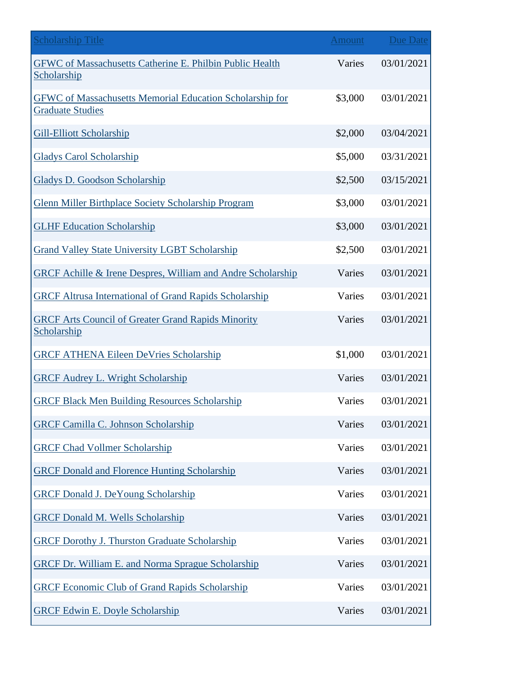| <b>Scholarship Title</b>                                                                   | Amount  | Due Date   |
|--------------------------------------------------------------------------------------------|---------|------------|
| <b>GFWC</b> of Massachusetts Catherine E. Philbin Public Health<br>Scholarship             | Varies  | 03/01/2021 |
| <b>GFWC</b> of Massachusetts Memorial Education Scholarship for<br><b>Graduate Studies</b> | \$3,000 | 03/01/2021 |
| <b>Gill-Elliott Scholarship</b>                                                            | \$2,000 | 03/04/2021 |
| <b>Gladys Carol Scholarship</b>                                                            | \$5,000 | 03/31/2021 |
| <b>Gladys D. Goodson Scholarship</b>                                                       | \$2,500 | 03/15/2021 |
| <b>Glenn Miller Birthplace Society Scholarship Program</b>                                 | \$3,000 | 03/01/2021 |
| <b>GLHF Education Scholarship</b>                                                          | \$3,000 | 03/01/2021 |
| <b>Grand Valley State University LGBT Scholarship</b>                                      | \$2,500 | 03/01/2021 |
| <b>GRCF Achille &amp; Irene Despres, William and Andre Scholarship</b>                     | Varies  | 03/01/2021 |
| <b>GRCF Altrusa International of Grand Rapids Scholarship</b>                              | Varies  | 03/01/2021 |
| <b>GRCF Arts Council of Greater Grand Rapids Minority</b><br>Scholarship                   | Varies  | 03/01/2021 |
| <b>GRCF ATHENA Eileen DeVries Scholarship</b>                                              | \$1,000 | 03/01/2021 |
| <b>GRCF Audrey L. Wright Scholarship</b>                                                   | Varies  | 03/01/2021 |
| <b>GRCF Black Men Building Resources Scholarship</b>                                       | Varies  | 03/01/2021 |
| <b>GRCF Camilla C. Johnson Scholarship</b>                                                 | Varies  | 03/01/2021 |
| <b>GRCF Chad Vollmer Scholarship</b>                                                       | Varies  | 03/01/2021 |
| <b>GRCF Donald and Florence Hunting Scholarship</b>                                        | Varies  | 03/01/2021 |
| <b>GRCF Donald J. DeYoung Scholarship</b>                                                  | Varies  | 03/01/2021 |
| <b>GRCF Donald M. Wells Scholarship</b>                                                    | Varies  | 03/01/2021 |
| <b>GRCF Dorothy J. Thurston Graduate Scholarship</b>                                       | Varies  | 03/01/2021 |
| <b>GRCF Dr. William E. and Norma Sprague Scholarship</b>                                   | Varies  | 03/01/2021 |
| <b>GRCF Economic Club of Grand Rapids Scholarship</b>                                      | Varies  | 03/01/2021 |
| <b>GRCF Edwin E. Doyle Scholarship</b>                                                     | Varies  | 03/01/2021 |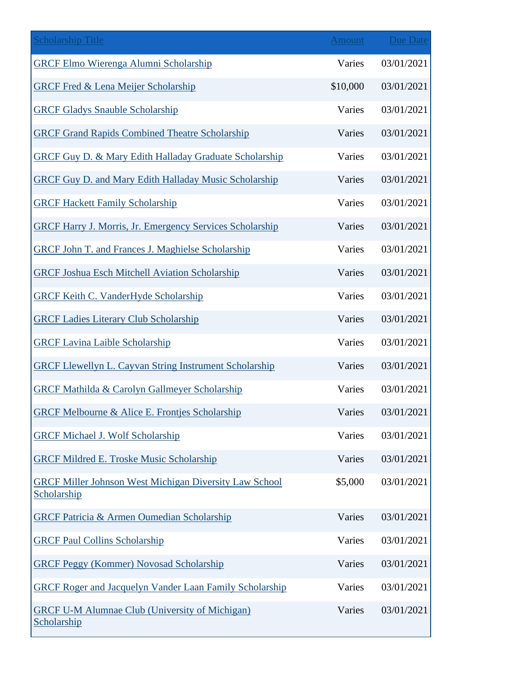| <b>Scholarship Title</b>                                                     | <b>Amount</b> | <b>Due Date</b> |
|------------------------------------------------------------------------------|---------------|-----------------|
| <b>GRCF Elmo Wierenga Alumni Scholarship</b>                                 | Varies        | 03/01/2021      |
| <b>GRCF Fred &amp; Lena Meijer Scholarship</b>                               | \$10,000      | 03/01/2021      |
| <b>GRCF Gladys Snauble Scholarship</b>                                       | Varies        | 03/01/2021      |
| <b>GRCF Grand Rapids Combined Theatre Scholarship</b>                        | Varies        | 03/01/2021      |
| <b>GRCF Guy D. &amp; Mary Edith Halladay Graduate Scholarship</b>            | Varies        | 03/01/2021      |
| <b>GRCF Guy D. and Mary Edith Halladay Music Scholarship</b>                 | Varies        | 03/01/2021      |
| <b>GRCF Hackett Family Scholarship</b>                                       | Varies        | 03/01/2021      |
| <b>GRCF Harry J. Morris, Jr. Emergency Services Scholarship</b>              | Varies        | 03/01/2021      |
| <b>GRCF John T. and Frances J. Maghielse Scholarship</b>                     | Varies        | 03/01/2021      |
| <b>GRCF Joshua Esch Mitchell Aviation Scholarship</b>                        | Varies        | 03/01/2021      |
| <b>GRCF Keith C. VanderHyde Scholarship</b>                                  | Varies        | 03/01/2021      |
| <b>GRCF Ladies Literary Club Scholarship</b>                                 | Varies        | 03/01/2021      |
| <b>GRCF Lavina Laible Scholarship</b>                                        | Varies        | 03/01/2021      |
| <b>GRCF Llewellyn L. Cayvan String Instrument Scholarship</b>                | Varies        | 03/01/2021      |
| <b>GRCF Mathilda &amp; Carolyn Gallmeyer Scholarship</b>                     | Varies        | 03/01/2021      |
| <b>GRCF Melbourne &amp; Alice E. Frontjes Scholarship</b>                    | Varies        | 03/01/2021      |
| <b>GRCF Michael J. Wolf Scholarship</b>                                      | Varies        | 03/01/2021      |
| <b>GRCF Mildred E. Troske Music Scholarship</b>                              | Varies        | 03/01/2021      |
| <b>GRCF Miller Johnson West Michigan Diversity Law School</b><br>Scholarship | \$5,000       | 03/01/2021      |
| <b>GRCF Patricia &amp; Armen Oumedian Scholarship</b>                        | Varies        | 03/01/2021      |
| <b>GRCF Paul Collins Scholarship</b>                                         | Varies        | 03/01/2021      |
| <b>GRCF Peggy (Kommer) Novosad Scholarship</b>                               | Varies        | 03/01/2021      |
| <b>GRCF Roger and Jacquelyn Vander Laan Family Scholarship</b>               | Varies        | 03/01/2021      |
| <b>GRCF U-M Alumnae Club (University of Michigan)</b><br>Scholarship         | Varies        | 03/01/2021      |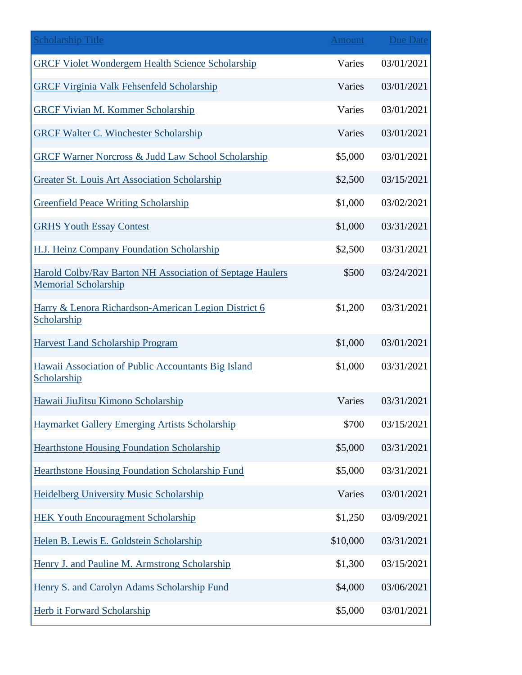| <b>Scholarship Title</b>                                                                        | Amount   | <b>Due Date</b> |
|-------------------------------------------------------------------------------------------------|----------|-----------------|
| <b>GRCF Violet Wondergem Health Science Scholarship</b>                                         | Varies   | 03/01/2021      |
| <b>GRCF Virginia Valk Fehsenfeld Scholarship</b>                                                | Varies   | 03/01/2021      |
| <b>GRCF Vivian M. Kommer Scholarship</b>                                                        | Varies   | 03/01/2021      |
| <b>GRCF Walter C. Winchester Scholarship</b>                                                    | Varies   | 03/01/2021      |
| <b>GRCF Warner Norcross &amp; Judd Law School Scholarship</b>                                   | \$5,000  | 03/01/2021      |
| <b>Greater St. Louis Art Association Scholarship</b>                                            | \$2,500  | 03/15/2021      |
| <b>Greenfield Peace Writing Scholarship</b>                                                     | \$1,000  | 03/02/2021      |
| <b>GRHS Youth Essay Contest</b>                                                                 | \$1,000  | 03/31/2021      |
| H.J. Heinz Company Foundation Scholarship                                                       | \$2,500  | 03/31/2021      |
| <b>Harold Colby/Ray Barton NH Association of Septage Haulers</b><br><b>Memorial Scholarship</b> | \$500    | 03/24/2021      |
| Harry & Lenora Richardson-American Legion District 6<br>Scholarship                             | \$1,200  | 03/31/2021      |
| <b>Harvest Land Scholarship Program</b>                                                         | \$1,000  | 03/01/2021      |
| Hawaii Association of Public Accountants Big Island<br>Scholarship                              | \$1,000  | 03/31/2021      |
| Hawaii JiuJitsu Kimono Scholarship                                                              | Varies   | 03/31/2021      |
| Haymarket Gallery Emerging Artists Scholarship                                                  | \$700    | 03/15/2021      |
| <b>Hearthstone Housing Foundation Scholarship</b>                                               | \$5,000  | 03/31/2021      |
| <b>Hearthstone Housing Foundation Scholarship Fund</b>                                          | \$5,000  | 03/31/2021      |
| <b>Heidelberg University Music Scholarship</b>                                                  | Varies   | 03/01/2021      |
| <b>HEK Youth Encouragment Scholarship</b>                                                       | \$1,250  | 03/09/2021      |
| Helen B. Lewis E. Goldstein Scholarship                                                         | \$10,000 | 03/31/2021      |
| Henry J. and Pauline M. Armstrong Scholarship                                                   | \$1,300  | 03/15/2021      |
| Henry S. and Carolyn Adams Scholarship Fund                                                     | \$4,000  | 03/06/2021      |
| <b>Herb it Forward Scholarship</b>                                                              | \$5,000  | 03/01/2021      |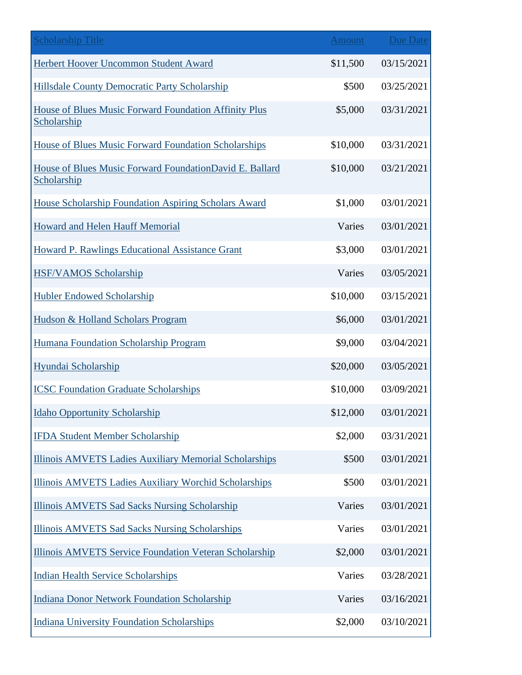| <b>Scholarship Title</b>                                               | <b>Amount</b> | Due Date   |
|------------------------------------------------------------------------|---------------|------------|
| Herbert Hoover Uncommon Student Award                                  | \$11,500      | 03/15/2021 |
| Hillsdale County Democratic Party Scholarship                          | \$500         | 03/25/2021 |
| House of Blues Music Forward Foundation Affinity Plus<br>Scholarship   | \$5,000       | 03/31/2021 |
| House of Blues Music Forward Foundation Scholarships                   | \$10,000      | 03/31/2021 |
| House of Blues Music Forward FoundationDavid E. Ballard<br>Scholarship | \$10,000      | 03/21/2021 |
| House Scholarship Foundation Aspiring Scholars Award                   | \$1,000       | 03/01/2021 |
| Howard and Helen Hauff Memorial                                        | Varies        | 03/01/2021 |
| <b>Howard P. Rawlings Educational Assistance Grant</b>                 | \$3,000       | 03/01/2021 |
| <b>HSF/VAMOS Scholarship</b>                                           | Varies        | 03/05/2021 |
| <b>Hubler Endowed Scholarship</b>                                      | \$10,000      | 03/15/2021 |
| Hudson & Holland Scholars Program                                      | \$6,000       | 03/01/2021 |
| Humana Foundation Scholarship Program                                  | \$9,000       | 03/04/2021 |
| Hyundai Scholarship                                                    | \$20,000      | 03/05/2021 |
| <b>ICSC Foundation Graduate Scholarships</b>                           | \$10,000      | 03/09/2021 |
| <b>Idaho Opportunity Scholarship</b>                                   | \$12,000      | 03/01/2021 |
| <b>IFDA Student Member Scholarship</b>                                 | \$2,000       | 03/31/2021 |
| <b>Illinois AMVETS Ladies Auxiliary Memorial Scholarships</b>          | \$500         | 03/01/2021 |
| Illinois AMVETS Ladies Auxiliary Worchid Scholarships                  | \$500         | 03/01/2021 |
| <b>Illinois AMVETS Sad Sacks Nursing Scholarship</b>                   | Varies        | 03/01/2021 |
| <b>Illinois AMVETS Sad Sacks Nursing Scholarships</b>                  | Varies        | 03/01/2021 |
| Illinois AMVETS Service Foundation Veteran Scholarship                 | \$2,000       | 03/01/2021 |
| <b>Indian Health Service Scholarships</b>                              | Varies        | 03/28/2021 |
| <b>Indiana Donor Network Foundation Scholarship</b>                    | Varies        | 03/16/2021 |
| <b>Indiana University Foundation Scholarships</b>                      | \$2,000       | 03/10/2021 |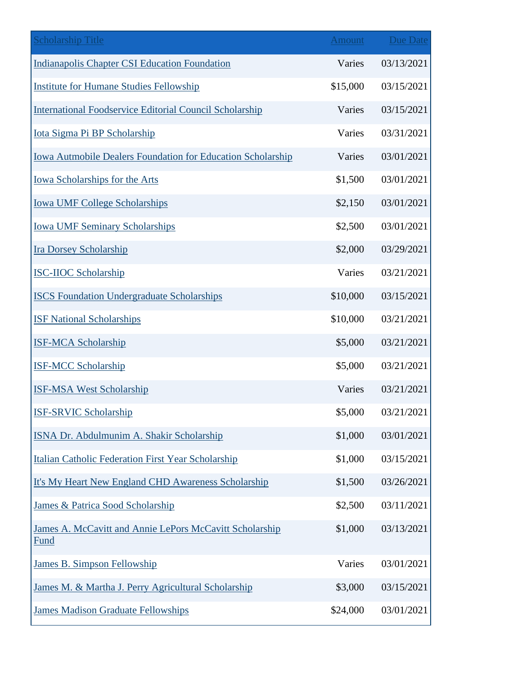| <b>Scholarship Title</b>                                           | <b>Amount</b> | <b>Due Date</b> |
|--------------------------------------------------------------------|---------------|-----------------|
| <b>Indianapolis Chapter CSI Education Foundation</b>               | Varies        | 03/13/2021      |
| <b>Institute for Humane Studies Fellowship</b>                     | \$15,000      | 03/15/2021      |
| <b>International Foodservice Editorial Council Scholarship</b>     | Varies        | 03/15/2021      |
| Iota Sigma Pi BP Scholarship                                       | Varies        | 03/31/2021      |
| <b>Iowa Autmobile Dealers Foundation for Education Scholarship</b> | Varies        | 03/01/2021      |
| <b>Iowa Scholarships for the Arts</b>                              | \$1,500       | 03/01/2021      |
| <b>Iowa UMF College Scholarships</b>                               | \$2,150       | 03/01/2021      |
| <b>Iowa UMF Seminary Scholarships</b>                              | \$2,500       | 03/01/2021      |
| <b>Ira Dorsey Scholarship</b>                                      | \$2,000       | 03/29/2021      |
| <b>ISC-IIOC Scholarship</b>                                        | Varies        | 03/21/2021      |
| <b>ISCS Foundation Undergraduate Scholarships</b>                  | \$10,000      | 03/15/2021      |
| <b>ISF National Scholarships</b>                                   | \$10,000      | 03/21/2021      |
| <b>ISF-MCA Scholarship</b>                                         | \$5,000       | 03/21/2021      |
| <b>ISF-MCC Scholarship</b>                                         | \$5,000       | 03/21/2021      |
| <b>ISF-MSA West Scholarship</b>                                    | Varies        | 03/21/2021      |
| <b>ISF-SRVIC Scholarship</b>                                       | \$5,000       | 03/21/2021      |
| ISNA Dr. Abdulmunim A. Shakir Scholarship                          | \$1,000       | 03/01/2021      |
| Italian Catholic Federation First Year Scholarship                 | \$1,000       | 03/15/2021      |
| It's My Heart New England CHD Awareness Scholarship                | \$1,500       | 03/26/2021      |
| <b>James &amp; Patrica Sood Scholarship</b>                        | \$2,500       | 03/11/2021      |
| James A. McCavitt and Annie LePors McCavitt Scholarship<br>Fund    | \$1,000       | 03/13/2021      |
| <b>James B. Simpson Fellowship</b>                                 | Varies        | 03/01/2021      |
| James M. & Martha J. Perry Agricultural Scholarship                | \$3,000       | 03/15/2021      |
| <b>James Madison Graduate Fellowships</b>                          | \$24,000      | 03/01/2021      |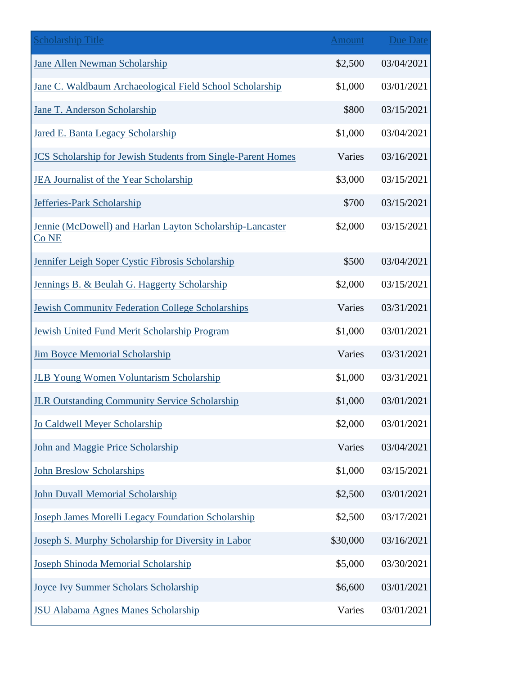| <b>Scholarship Title</b>                                                      | <b>Amount</b> | <b>Due Date</b> |
|-------------------------------------------------------------------------------|---------------|-----------------|
| <b>Jane Allen Newman Scholarship</b>                                          | \$2,500       | 03/04/2021      |
| Jane C. Waldbaum Archaeological Field School Scholarship                      | \$1,000       | 03/01/2021      |
| Jane T. Anderson Scholarship                                                  | \$800         | 03/15/2021      |
| Jared E. Banta Legacy Scholarship                                             | \$1,000       | 03/04/2021      |
| <b>JCS Scholarship for Jewish Students from Single-Parent Homes</b>           | Varies        | 03/16/2021      |
| <b>JEA Journalist of the Year Scholarship</b>                                 | \$3,000       | 03/15/2021      |
| Jefferies-Park Scholarship                                                    | \$700         | 03/15/2021      |
| Jennie (McDowell) and Harlan Layton Scholarship-Lancaster<br>Co <sub>NE</sub> | \$2,000       | 03/15/2021      |
| Jennifer Leigh Soper Cystic Fibrosis Scholarship                              | \$500         | 03/04/2021      |
| Jennings B. & Beulah G. Haggerty Scholarship                                  | \$2,000       | 03/15/2021      |
| <b>Jewish Community Federation College Scholarships</b>                       | Varies        | 03/31/2021      |
| Jewish United Fund Merit Scholarship Program                                  | \$1,000       | 03/01/2021      |
| <b>Jim Boyce Memorial Scholarship</b>                                         | Varies        | 03/31/2021      |
| <b>JLB Young Women Voluntarism Scholarship</b>                                | \$1,000       | 03/31/2021      |
| <b>JLR Outstanding Community Service Scholarship</b>                          | \$1,000       | 03/01/2021      |
| Jo Caldwell Meyer Scholarship                                                 | \$2,000       | 03/01/2021      |
| John and Maggie Price Scholarship                                             | Varies        | 03/04/2021      |
| <b>John Breslow Scholarships</b>                                              | \$1,000       | 03/15/2021      |
| <b>John Duvall Memorial Scholarship</b>                                       | \$2,500       | 03/01/2021      |
| Joseph James Morelli Legacy Foundation Scholarship                            | \$2,500       | 03/17/2021      |
| Joseph S. Murphy Scholarship for Diversity in Labor                           | \$30,000      | 03/16/2021      |
| Joseph Shinoda Memorial Scholarship                                           | \$5,000       | 03/30/2021      |
| <b>Joyce Ivy Summer Scholars Scholarship</b>                                  | \$6,600       | 03/01/2021      |
| <b>JSU Alabama Agnes Manes Scholarship</b>                                    | Varies        | 03/01/2021      |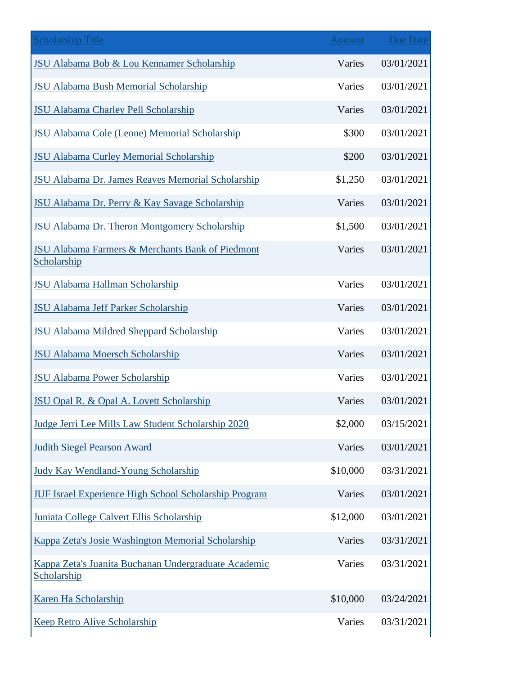| <b>Scholarship Title</b>                                                   | <b>Amount</b> | <b>Due Date</b> |
|----------------------------------------------------------------------------|---------------|-----------------|
| JSU Alabama Bob & Lou Kennamer Scholarship                                 | Varies        | 03/01/2021      |
| <b>JSU Alabama Bush Memorial Scholarship</b>                               | Varies        | 03/01/2021      |
| <b>JSU Alabama Charley Pell Scholarship</b>                                | Varies        | 03/01/2021      |
| <b>JSU Alabama Cole (Leone) Memorial Scholarship</b>                       | \$300         | 03/01/2021      |
| <b>JSU Alabama Curley Memorial Scholarship</b>                             | \$200         | 03/01/2021      |
| <b>JSU Alabama Dr. James Reaves Memorial Scholarship</b>                   | \$1,250       | 03/01/2021      |
| JSU Alabama Dr. Perry & Kay Savage Scholarship                             | Varies        | 03/01/2021      |
| JSU Alabama Dr. Theron Montgomery Scholarship                              | \$1,500       | 03/01/2021      |
| <b>JSU Alabama Farmers &amp; Merchants Bank of Piedmont</b><br>Scholarship | Varies        | 03/01/2021      |
| <b>JSU Alabama Hallman Scholarship</b>                                     | Varies        | 03/01/2021      |
| <b>JSU Alabama Jeff Parker Scholarship</b>                                 | Varies        | 03/01/2021      |
| <b>JSU Alabama Mildred Sheppard Scholarship</b>                            | Varies        | 03/01/2021      |
| <b>JSU Alabama Moersch Scholarship</b>                                     | Varies        | 03/01/2021      |
| <b>JSU Alabama Power Scholarship</b>                                       | Varies        | 03/01/2021      |
| <b>JSU Opal R. &amp; Opal A. Lovett Scholarship</b>                        | Varies        | 03/01/2021      |
| Judge Jerri Lee Mills Law Student Scholarship 2020                         | \$2,000       | 03/15/2021      |
| <b>Judith Siegel Pearson Award</b>                                         | Varies        | 03/01/2021      |
| <b>Judy Kay Wendland-Young Scholarship</b>                                 | \$10,000      | 03/31/2021      |
| <b>JUF Israel Experience High School Scholarship Program</b>               | Varies        | 03/01/2021      |
| Juniata College Calvert Ellis Scholarship                                  | \$12,000      | 03/01/2021      |
| Kappa Zeta's Josie Washington Memorial Scholarship                         | Varies        | 03/31/2021      |
| Kappa Zeta's Juanita Buchanan Undergraduate Academic<br>Scholarship        | Varies        | 03/31/2021      |
| Karen Ha Scholarship                                                       | \$10,000      | 03/24/2021      |
| <b>Keep Retro Alive Scholarship</b>                                        | Varies        | 03/31/2021      |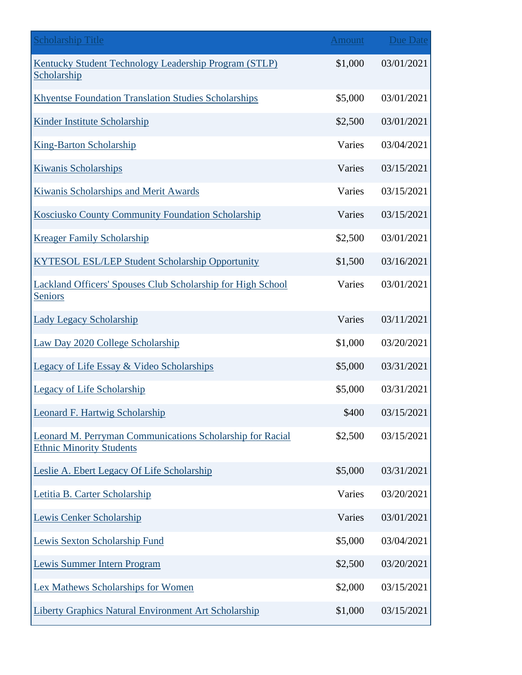| <b>Scholarship Title</b>                                                                     | <b>Amount</b> | Due Date   |
|----------------------------------------------------------------------------------------------|---------------|------------|
| Kentucky Student Technology Leadership Program (STLP)<br>Scholarship                         | \$1,000       | 03/01/2021 |
| <b>Khyentse Foundation Translation Studies Scholarships</b>                                  | \$5,000       | 03/01/2021 |
| <b>Kinder Institute Scholarship</b>                                                          | \$2,500       | 03/01/2021 |
| <b>King-Barton Scholarship</b>                                                               | Varies        | 03/04/2021 |
| <b>Kiwanis Scholarships</b>                                                                  | Varies        | 03/15/2021 |
| Kiwanis Scholarships and Merit Awards                                                        | Varies        | 03/15/2021 |
| Kosciusko County Community Foundation Scholarship                                            | Varies        | 03/15/2021 |
| <b>Kreager Family Scholarship</b>                                                            | \$2,500       | 03/01/2021 |
| <b>KYTESOL ESL/LEP Student Scholarship Opportunity</b>                                       | \$1,500       | 03/16/2021 |
| <b>Lackland Officers' Spouses Club Scholarship for High School</b><br>Seniors                | Varies        | 03/01/2021 |
| <b>Lady Legacy Scholarship</b>                                                               | Varies        | 03/11/2021 |
| Law Day 2020 College Scholarship                                                             | \$1,000       | 03/20/2021 |
| <b>Legacy of Life Essay &amp; Video Scholarships</b>                                         | \$5,000       | 03/31/2021 |
| <b>Legacy of Life Scholarship</b>                                                            | \$5,000       | 03/31/2021 |
| <b>Leonard F. Hartwig Scholarship</b>                                                        | \$400         | 03/15/2021 |
| Leonard M. Perryman Communications Scholarship for Racial<br><b>Ethnic Minority Students</b> | \$2,500       | 03/15/2021 |
| Leslie A. Ebert Legacy Of Life Scholarship                                                   | \$5,000       | 03/31/2021 |
| Letitia B. Carter Scholarship                                                                | Varies        | 03/20/2021 |
| Lewis Cenker Scholarship                                                                     | Varies        | 03/01/2021 |
| Lewis Sexton Scholarship Fund                                                                | \$5,000       | 03/04/2021 |
| Lewis Summer Intern Program                                                                  | \$2,500       | 03/20/2021 |
| Lex Mathews Scholarships for Women                                                           | \$2,000       | 03/15/2021 |
| <b>Liberty Graphics Natural Environment Art Scholarship</b>                                  | \$1,000       | 03/15/2021 |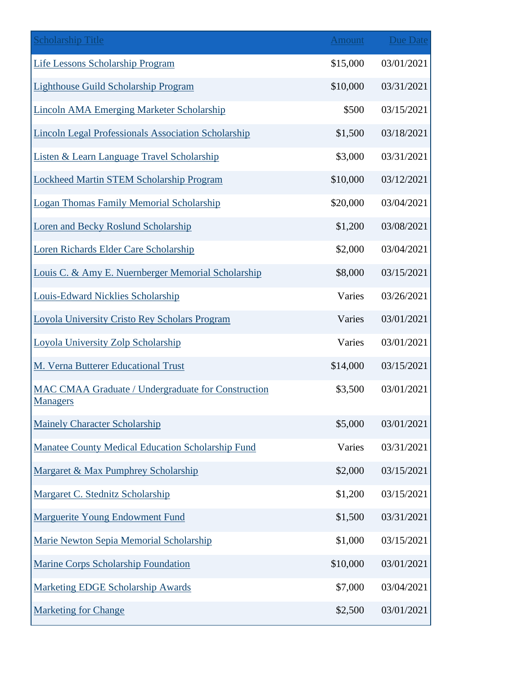| <b>Scholarship Title</b>                                                     | Amount   | <b>Due Date</b> |
|------------------------------------------------------------------------------|----------|-----------------|
| <b>Life Lessons Scholarship Program</b>                                      | \$15,000 | 03/01/2021      |
| <b>Lighthouse Guild Scholarship Program</b>                                  | \$10,000 | 03/31/2021      |
| <b>Lincoln AMA Emerging Marketer Scholarship</b>                             | \$500    | 03/15/2021      |
| <b>Lincoln Legal Professionals Association Scholarship</b>                   | \$1,500  | 03/18/2021      |
| Listen & Learn Language Travel Scholarship                                   | \$3,000  | 03/31/2021      |
| <b>Lockheed Martin STEM Scholarship Program</b>                              | \$10,000 | 03/12/2021      |
| <b>Logan Thomas Family Memorial Scholarship</b>                              | \$20,000 | 03/04/2021      |
| <b>Loren and Becky Roslund Scholarship</b>                                   | \$1,200  | 03/08/2021      |
| Loren Richards Elder Care Scholarship                                        | \$2,000  | 03/04/2021      |
| Louis C. & Amy E. Nuernberger Memorial Scholarship                           | \$8,000  | 03/15/2021      |
| <b>Louis-Edward Nicklies Scholarship</b>                                     | Varies   | 03/26/2021      |
| Loyola University Cristo Rey Scholars Program                                | Varies   | 03/01/2021      |
| <b>Loyola University Zolp Scholarship</b>                                    | Varies   | 03/01/2021      |
| M. Verna Butterer Educational Trust                                          | \$14,000 | 03/15/2021      |
| <b>MAC CMAA Graduate / Undergraduate for Construction</b><br><b>Managers</b> | \$3,500  | 03/01/2021      |
| <b>Mainely Character Scholarship</b>                                         | \$5,000  | 03/01/2021      |
| Manatee County Medical Education Scholarship Fund                            | Varies   | 03/31/2021      |
| Margaret & Max Pumphrey Scholarship                                          | \$2,000  | 03/15/2021      |
| Margaret C. Stednitz Scholarship                                             | \$1,200  | 03/15/2021      |
| <b>Marguerite Young Endowment Fund</b>                                       | \$1,500  | 03/31/2021      |
| Marie Newton Sepia Memorial Scholarship                                      | \$1,000  | 03/15/2021      |
| <b>Marine Corps Scholarship Foundation</b>                                   | \$10,000 | 03/01/2021      |
| <b>Marketing EDGE Scholarship Awards</b>                                     | \$7,000  | 03/04/2021      |
| <b>Marketing for Change</b>                                                  | \$2,500  | 03/01/2021      |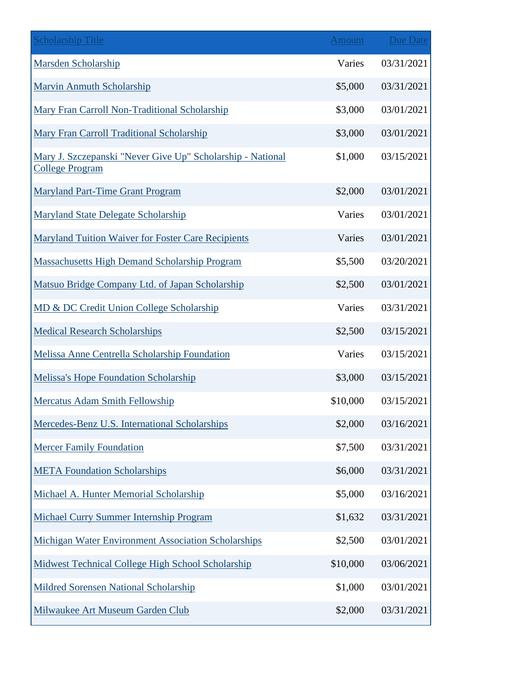| <b>Scholarship Title</b>                                                             | Amount   | <b>Due Date</b> |
|--------------------------------------------------------------------------------------|----------|-----------------|
| <b>Marsden Scholarship</b>                                                           | Varies   | 03/31/2021      |
| <b>Marvin Anmuth Scholarship</b>                                                     | \$5,000  | 03/31/2021      |
| Mary Fran Carroll Non-Traditional Scholarship                                        | \$3,000  | 03/01/2021      |
| Mary Fran Carroll Traditional Scholarship                                            | \$3,000  | 03/01/2021      |
| Mary J. Szczepanski "Never Give Up" Scholarship - National<br><b>College Program</b> | \$1,000  | 03/15/2021      |
| <b>Maryland Part-Time Grant Program</b>                                              | \$2,000  | 03/01/2021      |
| Maryland State Delegate Scholarship                                                  | Varies   | 03/01/2021      |
| <b>Maryland Tuition Waiver for Foster Care Recipients</b>                            | Varies   | 03/01/2021      |
| <b>Massachusetts High Demand Scholarship Program</b>                                 | \$5,500  | 03/20/2021      |
| Matsuo Bridge Company Ltd. of Japan Scholarship                                      | \$2,500  | 03/01/2021      |
| MD & DC Credit Union College Scholarship                                             | Varies   | 03/31/2021      |
| <b>Medical Research Scholarships</b>                                                 | \$2,500  | 03/15/2021      |
| <b>Melissa Anne Centrella Scholarship Foundation</b>                                 | Varies   | 03/15/2021      |
| <b>Melissa's Hope Foundation Scholarship</b>                                         | \$3,000  | 03/15/2021      |
| <b>Mercatus Adam Smith Fellowship</b>                                                | \$10,000 | 03/15/2021      |
| Mercedes-Benz U.S. International Scholarships                                        | \$2,000  | 03/16/2021      |
| <b>Mercer Family Foundation</b>                                                      | \$7,500  | 03/31/2021      |
| <b>META Foundation Scholarships</b>                                                  | \$6,000  | 03/31/2021      |
| Michael A. Hunter Memorial Scholarship                                               | \$5,000  | 03/16/2021      |
| <b>Michael Curry Summer Internship Program</b>                                       | \$1,632  | 03/31/2021      |
| <b>Michigan Water Environment Association Scholarships</b>                           | \$2,500  | 03/01/2021      |
| Midwest Technical College High School Scholarship                                    | \$10,000 | 03/06/2021      |
| <b>Mildred Sorensen National Scholarship</b>                                         | \$1,000  | 03/01/2021      |
| Milwaukee Art Museum Garden Club                                                     | \$2,000  | 03/31/2021      |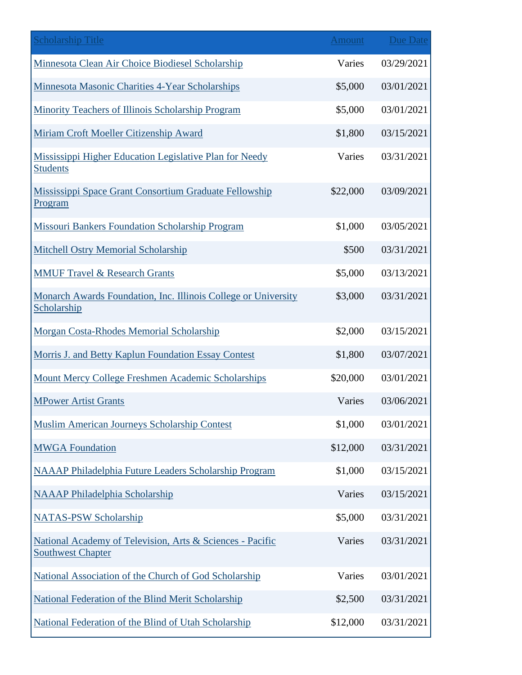| <b>Scholarship Title</b>                                                              | <b>Amount</b> | Due Date   |
|---------------------------------------------------------------------------------------|---------------|------------|
| Minnesota Clean Air Choice Biodiesel Scholarship                                      | Varies        | 03/29/2021 |
| Minnesota Masonic Charities 4-Year Scholarships                                       | \$5,000       | 03/01/2021 |
| Minority Teachers of Illinois Scholarship Program                                     | \$5,000       | 03/01/2021 |
| Miriam Croft Moeller Citizenship Award                                                | \$1,800       | 03/15/2021 |
| Mississippi Higher Education Legislative Plan for Needy<br><b>Students</b>            | Varies        | 03/31/2021 |
| Mississippi Space Grant Consortium Graduate Fellowship<br>Program                     | \$22,000      | 03/09/2021 |
| <b>Missouri Bankers Foundation Scholarship Program</b>                                | \$1,000       | 03/05/2021 |
| Mitchell Ostry Memorial Scholarship                                                   | \$500         | 03/31/2021 |
| <b>MMUF Travel &amp; Research Grants</b>                                              | \$5,000       | 03/13/2021 |
| Monarch Awards Foundation, Inc. Illinois College or University<br>Scholarship         | \$3,000       | 03/31/2021 |
| Morgan Costa-Rhodes Memorial Scholarship                                              | \$2,000       | 03/15/2021 |
| Morris J. and Betty Kaplun Foundation Essay Contest                                   | \$1,800       | 03/07/2021 |
| Mount Mercy College Freshmen Academic Scholarships                                    | \$20,000      | 03/01/2021 |
| <b>MPower Artist Grants</b>                                                           | Varies        | 03/06/2021 |
| <b>Muslim American Journeys Scholarship Contest</b>                                   | \$1,000       | 03/01/2021 |
| <b>MWGA Foundation</b>                                                                | \$12,000      | 03/31/2021 |
| NAAAP Philadelphia Future Leaders Scholarship Program                                 | \$1,000       | 03/15/2021 |
| <b>NAAAP Philadelphia Scholarship</b>                                                 | Varies        | 03/15/2021 |
| <b>NATAS-PSW Scholarship</b>                                                          | \$5,000       | 03/31/2021 |
| National Academy of Television, Arts & Sciences - Pacific<br><b>Southwest Chapter</b> | Varies        | 03/31/2021 |
| National Association of the Church of God Scholarship                                 | Varies        | 03/01/2021 |
| <b>National Federation of the Blind Merit Scholarship</b>                             | \$2,500       | 03/31/2021 |
| National Federation of the Blind of Utah Scholarship                                  | \$12,000      | 03/31/2021 |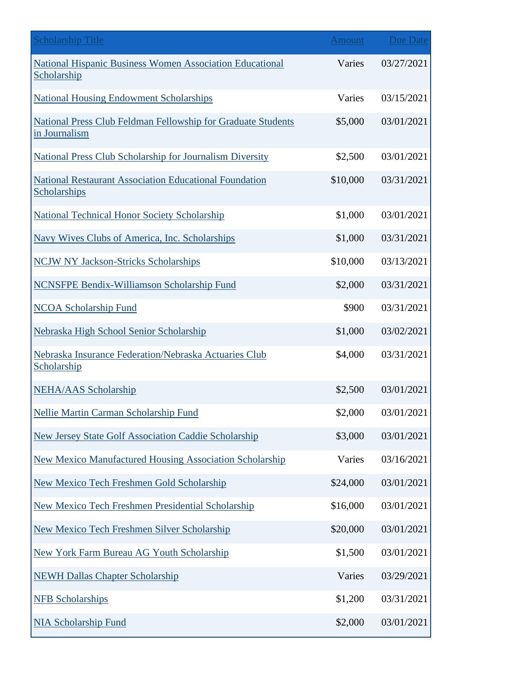| <b>Scholarship Title</b>                                                       | <b>Amount</b> | Due Date   |
|--------------------------------------------------------------------------------|---------------|------------|
| <b>National Hispanic Business Women Association Educational</b><br>Scholarship | Varies        | 03/27/2021 |
| <b>National Housing Endowment Scholarships</b>                                 | Varies        | 03/15/2021 |
| National Press Club Feldman Fellowship for Graduate Students<br>in Journalism  | \$5,000       | 03/01/2021 |
| <b>National Press Club Scholarship for Journalism Diversity</b>                | \$2,500       | 03/01/2021 |
| <b>National Restaurant Association Educational Foundation</b><br>Scholarships  | \$10,000      | 03/31/2021 |
| <b>National Technical Honor Society Scholarship</b>                            | \$1,000       | 03/01/2021 |
| Navy Wives Clubs of America, Inc. Scholarships                                 | \$1,000       | 03/31/2021 |
| <b>NCJW NY Jackson-Stricks Scholarships</b>                                    | \$10,000      | 03/13/2021 |
| <b>NCNSFPE Bendix-Williamson Scholarship Fund</b>                              | \$2,000       | 03/31/2021 |
| <b>NCOA Scholarship Fund</b>                                                   | \$900         | 03/31/2021 |
| Nebraska High School Senior Scholarship                                        | \$1,000       | 03/02/2021 |
| Nebraska Insurance Federation/Nebraska Actuaries Club<br>Scholarship           | \$4,000       | 03/31/2021 |
| <b>NEHA/AAS Scholarship</b>                                                    | \$2,500       | 03/01/2021 |
| <b>Nellie Martin Carman Scholarship Fund</b>                                   | \$2,000       | 03/01/2021 |
| <b>New Jersey State Golf Association Caddie Scholarship</b>                    | \$3,000       | 03/01/2021 |
| <b>New Mexico Manufactured Housing Association Scholarship</b>                 | Varies        | 03/16/2021 |
| <b>New Mexico Tech Freshmen Gold Scholarship</b>                               | \$24,000      | 03/01/2021 |
| New Mexico Tech Freshmen Presidential Scholarship                              | \$16,000      | 03/01/2021 |
| <b>New Mexico Tech Freshmen Silver Scholarship</b>                             | \$20,000      | 03/01/2021 |
| <b>New York Farm Bureau AG Youth Scholarship</b>                               | \$1,500       | 03/01/2021 |
| <b>NEWH Dallas Chapter Scholarship</b>                                         | Varies        | 03/29/2021 |
| <b>NFB Scholarships</b>                                                        | \$1,200       | 03/31/2021 |
| <b>NIA Scholarship Fund</b>                                                    | \$2,000       | 03/01/2021 |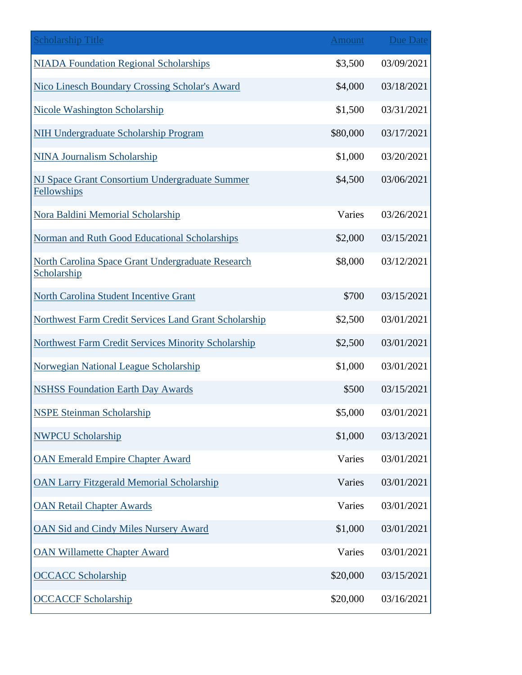| <b>Scholarship Title</b>                                         | <b>Amount</b> | <b>Due Date</b> |
|------------------------------------------------------------------|---------------|-----------------|
| <b>NIADA Foundation Regional Scholarships</b>                    | \$3,500       | 03/09/2021      |
| Nico Linesch Boundary Crossing Scholar's Award                   | \$4,000       | 03/18/2021      |
| Nicole Washington Scholarship                                    | \$1,500       | 03/31/2021      |
| <b>NIH Undergraduate Scholarship Program</b>                     | \$80,000      | 03/17/2021      |
| <b>NINA Journalism Scholarship</b>                               | \$1,000       | 03/20/2021      |
| NJ Space Grant Consortium Undergraduate Summer<br>Fellowships    | \$4,500       | 03/06/2021      |
| Nora Baldini Memorial Scholarship                                | Varies        | 03/26/2021      |
| Norman and Ruth Good Educational Scholarships                    | \$2,000       | 03/15/2021      |
| North Carolina Space Grant Undergraduate Research<br>Scholarship | \$8,000       | 03/12/2021      |
| North Carolina Student Incentive Grant                           | \$700         | 03/15/2021      |
| Northwest Farm Credit Services Land Grant Scholarship            | \$2,500       | 03/01/2021      |
| <b>Northwest Farm Credit Services Minority Scholarship</b>       | \$2,500       | 03/01/2021      |
| <b>Norwegian National League Scholarship</b>                     | \$1,000       | 03/01/2021      |
| <b>NSHSS Foundation Earth Day Awards</b>                         | \$500         | 03/15/2021      |
| <b>NSPE Steinman Scholarship</b>                                 | \$5,000       | 03/01/2021      |
| <b>NWPCU Scholarship</b>                                         | \$1,000       | 03/13/2021      |
| <b>OAN Emerald Empire Chapter Award</b>                          | Varies        | 03/01/2021      |
| <b>OAN Larry Fitzgerald Memorial Scholarship</b>                 | Varies        | 03/01/2021      |
| <b>OAN Retail Chapter Awards</b>                                 | Varies        | 03/01/2021      |
| <b>OAN Sid and Cindy Miles Nursery Award</b>                     | \$1,000       | 03/01/2021      |
| <b>OAN Willamette Chapter Award</b>                              | Varies        | 03/01/2021      |
| <b>OCCACC Scholarship</b>                                        | \$20,000      | 03/15/2021      |
| <b>OCCACCF Scholarship</b>                                       | \$20,000      | 03/16/2021      |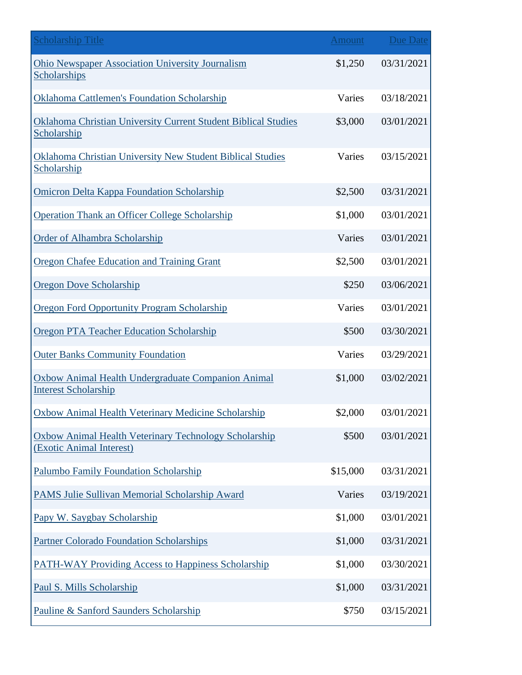| <b>Scholarship Title</b>                                                             | <b>Amount</b> | Due Date   |
|--------------------------------------------------------------------------------------|---------------|------------|
| <b>Ohio Newspaper Association University Journalism</b><br>Scholarships              | \$1,250       | 03/31/2021 |
| <b>Oklahoma Cattlemen's Foundation Scholarship</b>                                   | Varies        | 03/18/2021 |
| <b>Oklahoma Christian University Current Student Biblical Studies</b><br>Scholarship | \$3,000       | 03/01/2021 |
| Oklahoma Christian University New Student Biblical Studies<br>Scholarship            | Varies        | 03/15/2021 |
| <b>Omicron Delta Kappa Foundation Scholarship</b>                                    | \$2,500       | 03/31/2021 |
| <b>Operation Thank an Officer College Scholarship</b>                                | \$1,000       | 03/01/2021 |
| <b>Order of Alhambra Scholarship</b>                                                 | Varies        | 03/01/2021 |
| Oregon Chafee Education and Training Grant                                           | \$2,500       | 03/01/2021 |
| <b>Oregon Dove Scholarship</b>                                                       | \$250         | 03/06/2021 |
| <b>Oregon Ford Opportunity Program Scholarship</b>                                   | Varies        | 03/01/2021 |
| <b>Oregon PTA Teacher Education Scholarship</b>                                      | \$500         | 03/30/2021 |
| <b>Outer Banks Community Foundation</b>                                              | Varies        | 03/29/2021 |
| Oxbow Animal Health Undergraduate Companion Animal<br><b>Interest Scholarship</b>    | \$1,000       | 03/02/2021 |
| Oxbow Animal Health Veterinary Medicine Scholarship                                  | \$2,000       | 03/01/2021 |
| Oxbow Animal Health Veterinary Technology Scholarship<br>(Exotic Animal Interest)    | \$500         | 03/01/2021 |
| <b>Palumbo Family Foundation Scholarship</b>                                         | \$15,000      | 03/31/2021 |
| PAMS Julie Sullivan Memorial Scholarship Award                                       | Varies        | 03/19/2021 |
| Papy W. Saygbay Scholarship                                                          | \$1,000       | 03/01/2021 |
| <b>Partner Colorado Foundation Scholarships</b>                                      | \$1,000       | 03/31/2021 |
| <b>PATH-WAY Providing Access to Happiness Scholarship</b>                            | \$1,000       | 03/30/2021 |
| Paul S. Mills Scholarship                                                            | \$1,000       | 03/31/2021 |
| Pauline & Sanford Saunders Scholarship                                               | \$750         | 03/15/2021 |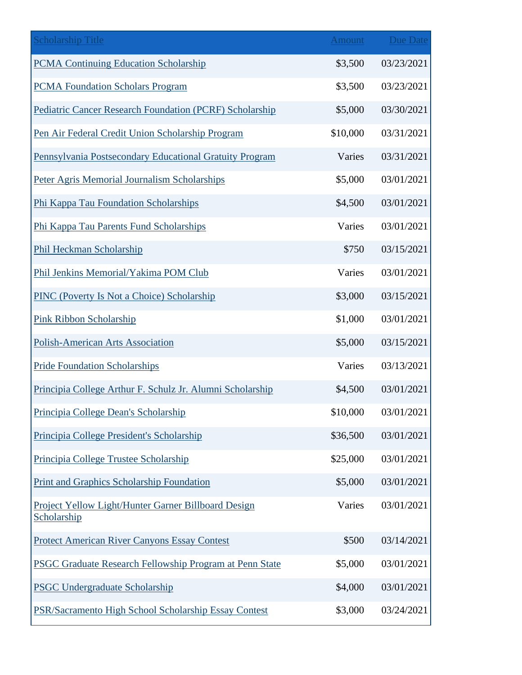| <b>Scholarship Title</b>                                           | <b>Amount</b> | <b>Due Date</b> |
|--------------------------------------------------------------------|---------------|-----------------|
| <b>PCMA Continuing Education Scholarship</b>                       | \$3,500       | 03/23/2021      |
| <b>PCMA Foundation Scholars Program</b>                            | \$3,500       | 03/23/2021      |
| <b>Pediatric Cancer Research Foundation (PCRF) Scholarship</b>     | \$5,000       | 03/30/2021      |
| Pen Air Federal Credit Union Scholarship Program                   | \$10,000      | 03/31/2021      |
| Pennsylvania Postsecondary Educational Gratuity Program            | Varies        | 03/31/2021      |
| Peter Agris Memorial Journalism Scholarships                       | \$5,000       | 03/01/2021      |
| Phi Kappa Tau Foundation Scholarships                              | \$4,500       | 03/01/2021      |
| Phi Kappa Tau Parents Fund Scholarships                            | Varies        | 03/01/2021      |
| Phil Heckman Scholarship                                           | \$750         | 03/15/2021      |
| Phil Jenkins Memorial/Yakima POM Club                              | Varies        | 03/01/2021      |
| <b>PINC (Poverty Is Not a Choice) Scholarship</b>                  | \$3,000       | 03/15/2021      |
| Pink Ribbon Scholarship                                            | \$1,000       | 03/01/2021      |
| Polish-American Arts Association                                   | \$5,000       | 03/15/2021      |
| <b>Pride Foundation Scholarships</b>                               | Varies        | 03/13/2021      |
| Principia College Arthur F. Schulz Jr. Alumni Scholarship          | \$4,500       | 03/01/2021      |
| Principia College Dean's Scholarship                               | \$10,000      | 03/01/2021      |
| Principia College President's Scholarship                          | \$36,500      | 03/01/2021      |
| Principia College Trustee Scholarship                              | \$25,000      | 03/01/2021      |
| Print and Graphics Scholarship Foundation                          | \$5,000       | 03/01/2021      |
| Project Yellow Light/Hunter Garner Billboard Design<br>Scholarship | Varies        | 03/01/2021      |
| <b>Protect American River Canyons Essay Contest</b>                | \$500         | 03/14/2021      |
| PSGC Graduate Research Fellowship Program at Penn State            | \$5,000       | 03/01/2021      |
| <b>PSGC Undergraduate Scholarship</b>                              | \$4,000       | 03/01/2021      |
| PSR/Sacramento High School Scholarship Essay Contest               | \$3,000       | 03/24/2021      |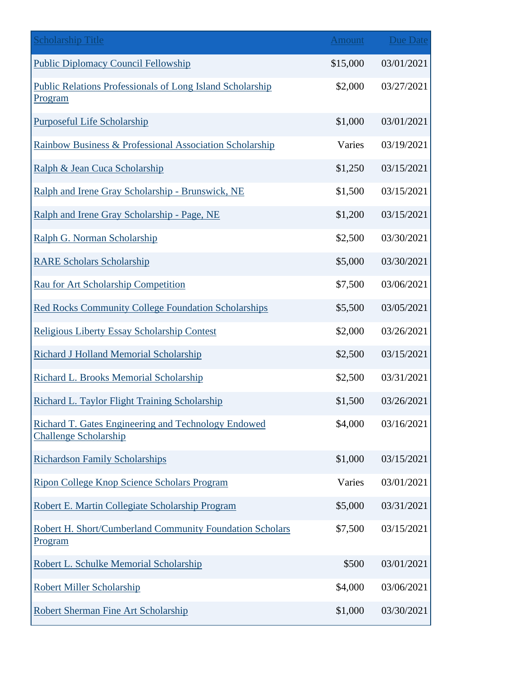| <b>Scholarship Title</b>                                                            | Amount   | <b>Due Date</b> |
|-------------------------------------------------------------------------------------|----------|-----------------|
| <b>Public Diplomacy Council Fellowship</b>                                          | \$15,000 | 03/01/2021      |
| <b>Public Relations Professionals of Long Island Scholarship</b><br>Program         | \$2,000  | 03/27/2021      |
| <b>Purposeful Life Scholarship</b>                                                  | \$1,000  | 03/01/2021      |
| Rainbow Business & Professional Association Scholarship                             | Varies   | 03/19/2021      |
| Ralph & Jean Cuca Scholarship                                                       | \$1,250  | 03/15/2021      |
| Ralph and Irene Gray Scholarship - Brunswick, NE                                    | \$1,500  | 03/15/2021      |
| Ralph and Irene Gray Scholarship - Page, NE                                         | \$1,200  | 03/15/2021      |
| Ralph G. Norman Scholarship                                                         | \$2,500  | 03/30/2021      |
| <b>RARE Scholars Scholarship</b>                                                    | \$5,000  | 03/30/2021      |
| Rau for Art Scholarship Competition                                                 | \$7,500  | 03/06/2021      |
| <b>Red Rocks Community College Foundation Scholarships</b>                          | \$5,500  | 03/05/2021      |
| Religious Liberty Essay Scholarship Contest                                         | \$2,000  | 03/26/2021      |
| Richard J Holland Memorial Scholarship                                              | \$2,500  | 03/15/2021      |
| Richard L. Brooks Memorial Scholarship                                              | \$2,500  | 03/31/2021      |
| Richard L. Taylor Flight Training Scholarship                                       | \$1,500  | 03/26/2021      |
| Richard T. Gates Engineering and Technology Endowed<br><b>Challenge Scholarship</b> | \$4,000  | 03/16/2021      |
| <b>Richardson Family Scholarships</b>                                               | \$1,000  | 03/15/2021      |
| Ripon College Knop Science Scholars Program                                         | Varies   | 03/01/2021      |
| Robert E. Martin Collegiate Scholarship Program                                     | \$5,000  | 03/31/2021      |
| Robert H. Short/Cumberland Community Foundation Scholars<br>Program                 | \$7,500  | 03/15/2021      |
| Robert L. Schulke Memorial Scholarship                                              | \$500    | 03/01/2021      |
| <b>Robert Miller Scholarship</b>                                                    | \$4,000  | 03/06/2021      |
| Robert Sherman Fine Art Scholarship                                                 | \$1,000  | 03/30/2021      |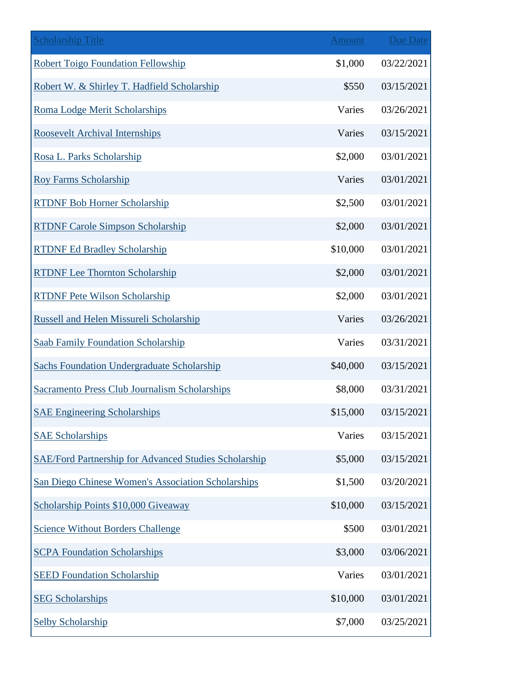| <b>Scholarship Title</b>                              | Amount   | <b>Due Date</b> |
|-------------------------------------------------------|----------|-----------------|
| <b>Robert Toigo Foundation Fellowship</b>             | \$1,000  | 03/22/2021      |
| Robert W. & Shirley T. Hadfield Scholarship           | \$550    | 03/15/2021      |
| Roma Lodge Merit Scholarships                         | Varies   | 03/26/2021      |
| <b>Roosevelt Archival Internships</b>                 | Varies   | 03/15/2021      |
| Rosa L. Parks Scholarship                             | \$2,000  | 03/01/2021      |
| <b>Roy Farms Scholarship</b>                          | Varies   | 03/01/2021      |
| <b>RTDNF Bob Horner Scholarship</b>                   | \$2,500  | 03/01/2021      |
| <b>RTDNF Carole Simpson Scholarship</b>               | \$2,000  | 03/01/2021      |
| <b>RTDNF Ed Bradley Scholarship</b>                   | \$10,000 | 03/01/2021      |
| <b>RTDNF Lee Thornton Scholarship</b>                 | \$2,000  | 03/01/2021      |
| <b>RTDNF Pete Wilson Scholarship</b>                  | \$2,000  | 03/01/2021      |
| Russell and Helen Missureli Scholarship               | Varies   | 03/26/2021      |
| <b>Saab Family Foundation Scholarship</b>             | Varies   | 03/31/2021      |
| <b>Sachs Foundation Undergraduate Scholarship</b>     | \$40,000 | 03/15/2021      |
| <b>Sacramento Press Club Journalism Scholarships</b>  | \$8,000  | 03/31/2021      |
| <b>SAE Engineering Scholarships</b>                   | \$15,000 | 03/15/2021      |
| <b>SAE Scholarships</b>                               | Varies   | 03/15/2021      |
| SAE/Ford Partnership for Advanced Studies Scholarship | \$5,000  | 03/15/2021      |
| San Diego Chinese Women's Association Scholarships    | \$1,500  | 03/20/2021      |
| Scholarship Points \$10,000 Giveaway                  | \$10,000 | 03/15/2021      |
| <b>Science Without Borders Challenge</b>              | \$500    | 03/01/2021      |
| <b>SCPA Foundation Scholarships</b>                   | \$3,000  | 03/06/2021      |
| <b>SEED Foundation Scholarship</b>                    | Varies   | 03/01/2021      |
| <b>SEG Scholarships</b>                               | \$10,000 | 03/01/2021      |
| <b>Selby Scholarship</b>                              | \$7,000  | 03/25/2021      |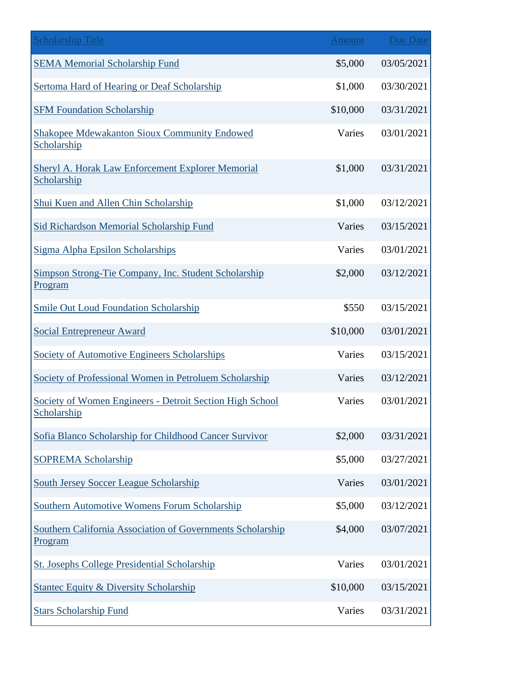| <b>Scholarship Title</b>                                                | Amount   | <b>Due Date</b> |
|-------------------------------------------------------------------------|----------|-----------------|
| <b>SEMA Memorial Scholarship Fund</b>                                   | \$5,000  | 03/05/2021      |
| Sertoma Hard of Hearing or Deaf Scholarship                             | \$1,000  | 03/30/2021      |
| <b>SFM Foundation Scholarship</b>                                       | \$10,000 | 03/31/2021      |
| <b>Shakopee Mdewakanton Sioux Community Endowed</b><br>Scholarship      | Varies   | 03/01/2021      |
| Sheryl A. Horak Law Enforcement Explorer Memorial<br>Scholarship        | \$1,000  | 03/31/2021      |
| Shui Kuen and Allen Chin Scholarship                                    | \$1,000  | 03/12/2021      |
| Sid Richardson Memorial Scholarship Fund                                | Varies   | 03/15/2021      |
| Sigma Alpha Epsilon Scholarships                                        | Varies   | 03/01/2021      |
| Simpson Strong-Tie Company, Inc. Student Scholarship<br>Program         | \$2,000  | 03/12/2021      |
| <b>Smile Out Loud Foundation Scholarship</b>                            | \$550    | 03/15/2021      |
| <b>Social Entrepreneur Award</b>                                        | \$10,000 | 03/01/2021      |
| <b>Society of Automotive Engineers Scholarships</b>                     | Varies   | 03/15/2021      |
| Society of Professional Women in Petroluem Scholarship                  | Varies   | 03/12/2021      |
| Society of Women Engineers - Detroit Section High School<br>Scholarship | Varies   | 03/01/2021      |
| Sofia Blanco Scholarship for Childhood Cancer Survivor                  | \$2,000  | 03/31/2021      |
| <b>SOPREMA Scholarship</b>                                              | \$5,000  | 03/27/2021      |
| <b>South Jersey Soccer League Scholarship</b>                           | Varies   | 03/01/2021      |
| Southern Automotive Womens Forum Scholarship                            | \$5,000  | 03/12/2021      |
| Southern California Association of Governments Scholarship<br>Program   | \$4,000  | 03/07/2021      |
| <b>St. Josephs College Presidential Scholarship</b>                     | Varies   | 03/01/2021      |
| <b>Stantec Equity &amp; Diversity Scholarship</b>                       | \$10,000 | 03/15/2021      |
| <b>Stars Scholarship Fund</b>                                           | Varies   | 03/31/2021      |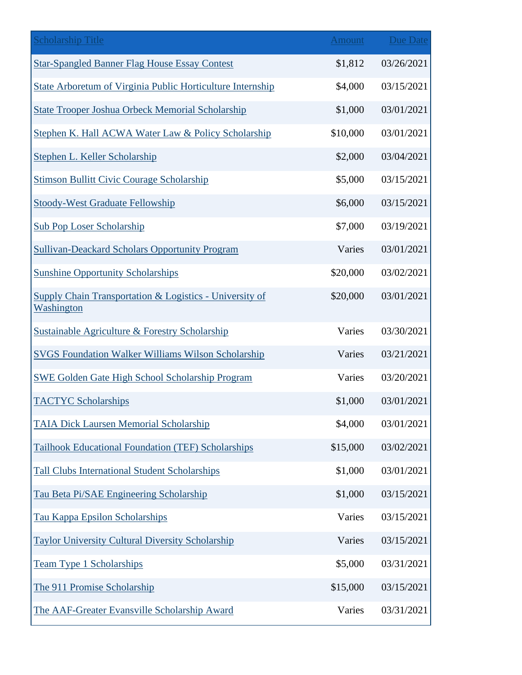| <b>Scholarship Title</b>                                                         | <b>Amount</b> | <b>Due Date</b> |
|----------------------------------------------------------------------------------|---------------|-----------------|
| <b>Star-Spangled Banner Flag House Essay Contest</b>                             | \$1,812       | 03/26/2021      |
| State Arboretum of Virginia Public Horticulture Internship                       | \$4,000       | 03/15/2021      |
| State Trooper Joshua Orbeck Memorial Scholarship                                 | \$1,000       | 03/01/2021      |
| Stephen K. Hall ACWA Water Law & Policy Scholarship                              | \$10,000      | 03/01/2021      |
| Stephen L. Keller Scholarship                                                    | \$2,000       | 03/04/2021      |
| <b>Stimson Bullitt Civic Courage Scholarship</b>                                 | \$5,000       | 03/15/2021      |
| <b>Stoody-West Graduate Fellowship</b>                                           | \$6,000       | 03/15/2021      |
| <b>Sub Pop Loser Scholarship</b>                                                 | \$7,000       | 03/19/2021      |
| <b>Sullivan-Deackard Scholars Opportunity Program</b>                            | Varies        | 03/01/2021      |
| <b>Sunshine Opportunity Scholarships</b>                                         | \$20,000      | 03/02/2021      |
| <b>Supply Chain Transportation &amp; Logistics - University of</b><br>Washington | \$20,000      | 03/01/2021      |
| Sustainable Agriculture & Forestry Scholarship                                   | Varies        | 03/30/2021      |
| <b>SVGS Foundation Walker Williams Wilson Scholarship</b>                        | Varies        | 03/21/2021      |
| <b>SWE Golden Gate High School Scholarship Program</b>                           | Varies        | 03/20/2021      |
| <b>TACTYC Scholarships</b>                                                       | \$1,000       | 03/01/2021      |
| <b>TAIA Dick Laursen Memorial Scholarship</b>                                    | \$4,000       | 03/01/2021      |
| Tailhook Educational Foundation (TEF) Scholarships                               | \$15,000      | 03/02/2021      |
| <b>Tall Clubs International Student Scholarships</b>                             | \$1,000       | 03/01/2021      |
| Tau Beta Pi/SAE Engineering Scholarship                                          | \$1,000       | 03/15/2021      |
| Tau Kappa Epsilon Scholarships                                                   | Varies        | 03/15/2021      |
| Taylor University Cultural Diversity Scholarship                                 | Varies        | 03/15/2021      |
| <b>Team Type 1 Scholarships</b>                                                  | \$5,000       | 03/31/2021      |
| The 911 Promise Scholarship                                                      | \$15,000      | 03/15/2021      |
| The AAF-Greater Evansville Scholarship Award                                     | Varies        | 03/31/2021      |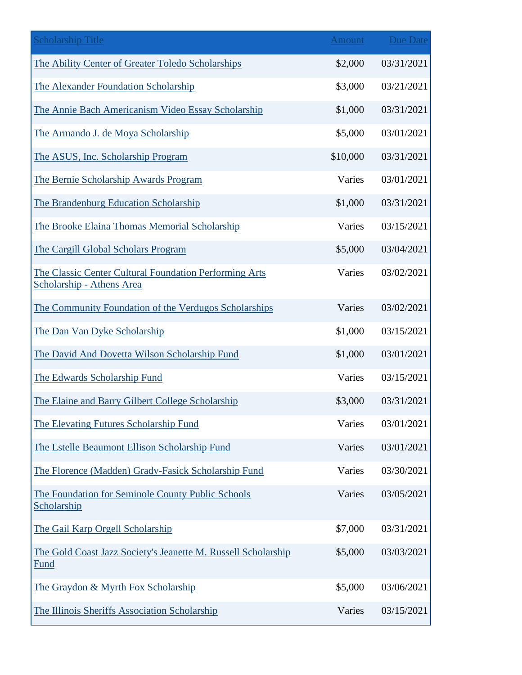| <b>Scholarship Title</b>                                                            | <b>Amount</b> | <b>Due Date</b> |
|-------------------------------------------------------------------------------------|---------------|-----------------|
| The Ability Center of Greater Toledo Scholarships                                   | \$2,000       | 03/31/2021      |
| The Alexander Foundation Scholarship                                                | \$3,000       | 03/21/2021      |
| The Annie Bach Americanism Video Essay Scholarship                                  | \$1,000       | 03/31/2021      |
| The Armando J. de Moya Scholarship                                                  | \$5,000       | 03/01/2021      |
| The ASUS, Inc. Scholarship Program                                                  | \$10,000      | 03/31/2021      |
| The Bernie Scholarship Awards Program                                               | Varies        | 03/01/2021      |
| The Brandenburg Education Scholarship                                               | \$1,000       | 03/31/2021      |
| The Brooke Elaina Thomas Memorial Scholarship                                       | Varies        | 03/15/2021      |
| The Cargill Global Scholars Program                                                 | \$5,000       | 03/04/2021      |
| The Classic Center Cultural Foundation Performing Arts<br>Scholarship - Athens Area | Varies        | 03/02/2021      |
| The Community Foundation of the Verdugos Scholarships                               | Varies        | 03/02/2021      |
| The Dan Van Dyke Scholarship                                                        | \$1,000       | 03/15/2021      |
| The David And Dovetta Wilson Scholarship Fund                                       | \$1,000       | 03/01/2021      |
| The Edwards Scholarship Fund                                                        | Varies        | 03/15/2021      |
| The Elaine and Barry Gilbert College Scholarship                                    | \$3,000       | 03/31/2021      |
| The Elevating Futures Scholarship Fund                                              | Varies        | 03/01/2021      |
| The Estelle Beaumont Ellison Scholarship Fund                                       | Varies        | 03/01/2021      |
| The Florence (Madden) Grady-Fasick Scholarship Fund                                 | Varies        | 03/30/2021      |
| The Foundation for Seminole County Public Schools<br><b>Scholarship</b>             | Varies        | 03/05/2021      |
| The Gail Karp Orgell Scholarship                                                    | \$7,000       | 03/31/2021      |
| The Gold Coast Jazz Society's Jeanette M. Russell Scholarship<br>Fund               | \$5,000       | 03/03/2021      |
| The Graydon & Myrth Fox Scholarship                                                 | \$5,000       | 03/06/2021      |
| The Illinois Sheriffs Association Scholarship                                       | Varies        | 03/15/2021      |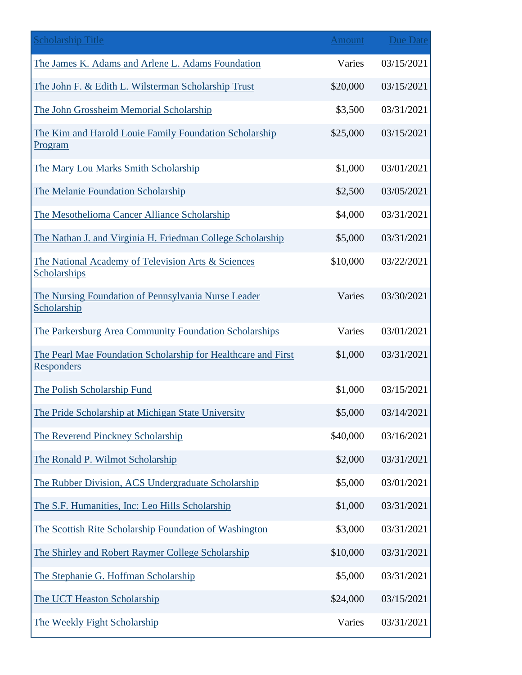| <b>Scholarship Title</b>                                                           | Amount   | <b>Due Date</b> |
|------------------------------------------------------------------------------------|----------|-----------------|
| The James K. Adams and Arlene L. Adams Foundation                                  | Varies   | 03/15/2021      |
| The John F. & Edith L. Wilsterman Scholarship Trust                                | \$20,000 | 03/15/2021      |
| The John Grossheim Memorial Scholarship                                            | \$3,500  | 03/31/2021      |
| The Kim and Harold Louie Family Foundation Scholarship<br><b>Program</b>           | \$25,000 | 03/15/2021      |
| The Mary Lou Marks Smith Scholarship                                               | \$1,000  | 03/01/2021      |
| The Melanie Foundation Scholarship                                                 | \$2,500  | 03/05/2021      |
| The Mesothelioma Cancer Alliance Scholarship                                       | \$4,000  | 03/31/2021      |
| The Nathan J. and Virginia H. Friedman College Scholarship                         | \$5,000  | 03/31/2021      |
| The National Academy of Television Arts & Sciences<br>Scholarships                 | \$10,000 | 03/22/2021      |
| The Nursing Foundation of Pennsylvania Nurse Leader<br>Scholarship                 | Varies   | 03/30/2021      |
| The Parkersburg Area Community Foundation Scholarships                             | Varies   | 03/01/2021      |
| The Pearl Mae Foundation Scholarship for Healthcare and First<br><b>Responders</b> | \$1,000  | 03/31/2021      |
| The Polish Scholarship Fund                                                        | \$1,000  | 03/15/2021      |
| The Pride Scholarship at Michigan State University                                 | \$5,000  | 03/14/2021      |
| The Reverend Pinckney Scholarship                                                  | \$40,000 | 03/16/2021      |
| The Ronald P. Wilmot Scholarship                                                   | \$2,000  | 03/31/2021      |
| The Rubber Division, ACS Undergraduate Scholarship                                 | \$5,000  | 03/01/2021      |
| The S.F. Humanities, Inc: Leo Hills Scholarship                                    | \$1,000  | 03/31/2021      |
| The Scottish Rite Scholarship Foundation of Washington                             | \$3,000  | 03/31/2021      |
| The Shirley and Robert Raymer College Scholarship                                  | \$10,000 | 03/31/2021      |
| The Stephanie G. Hoffman Scholarship                                               | \$5,000  | 03/31/2021      |
| The UCT Heaston Scholarship                                                        | \$24,000 | 03/15/2021      |
| The Weekly Fight Scholarship                                                       | Varies   | 03/31/2021      |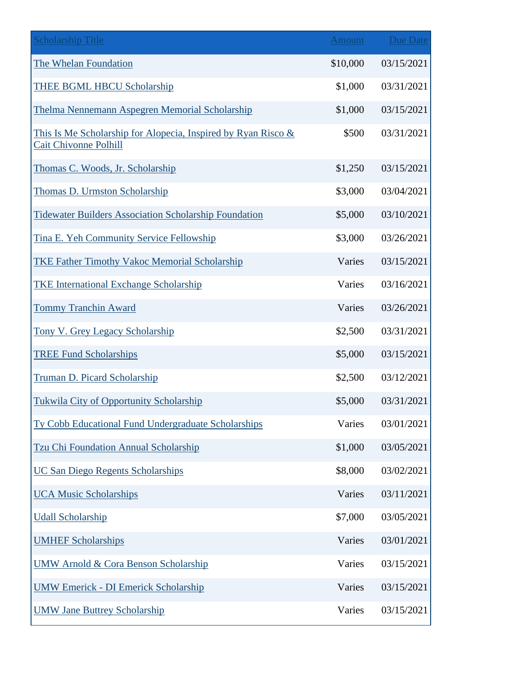| <b>Scholarship Title</b>                                                                      | Amount   | <b>Due Date</b> |
|-----------------------------------------------------------------------------------------------|----------|-----------------|
| The Whelan Foundation                                                                         | \$10,000 | 03/15/2021      |
| THEE BGML HBCU Scholarship                                                                    | \$1,000  | 03/31/2021      |
| Thelma Nennemann Aspegren Memorial Scholarship                                                | \$1,000  | 03/15/2021      |
| This Is Me Scholarship for Alopecia, Inspired by Ryan Risco &<br><b>Cait Chivonne Polhill</b> | \$500    | 03/31/2021      |
| Thomas C. Woods, Jr. Scholarship                                                              | \$1,250  | 03/15/2021      |
| Thomas D. Urmston Scholarship                                                                 | \$3,000  | 03/04/2021      |
| <b>Tidewater Builders Association Scholarship Foundation</b>                                  | \$5,000  | 03/10/2021      |
| Tina E. Yeh Community Service Fellowship                                                      | \$3,000  | 03/26/2021      |
| <b>TKE Father Timothy Vakoc Memorial Scholarship</b>                                          | Varies   | 03/15/2021      |
| <b>TKE International Exchange Scholarship</b>                                                 | Varies   | 03/16/2021      |
| <b>Tommy Tranchin Award</b>                                                                   | Varies   | 03/26/2021      |
| <b>Tony V. Grey Legacy Scholarship</b>                                                        | \$2,500  | 03/31/2021      |
| <b>TREE Fund Scholarships</b>                                                                 | \$5,000  | 03/15/2021      |
| <b>Truman D. Picard Scholarship</b>                                                           | \$2,500  | 03/12/2021      |
| <b>Tukwila City of Opportunity Scholarship</b>                                                | \$5,000  | 03/31/2021      |
| Ty Cobb Educational Fund Undergraduate Scholarships                                           | Varies   | 03/01/2021      |
| Tzu Chi Foundation Annual Scholarship                                                         | \$1,000  | 03/05/2021      |
| <b>UC San Diego Regents Scholarships</b>                                                      | \$8,000  | 03/02/2021      |
| <b>UCA Music Scholarships</b>                                                                 | Varies   | 03/11/2021      |
| <b>Udall Scholarship</b>                                                                      | \$7,000  | 03/05/2021      |
| <b>UMHEF Scholarships</b>                                                                     | Varies   | 03/01/2021      |
| <b>UMW Arnold &amp; Cora Benson Scholarship</b>                                               | Varies   | 03/15/2021      |
| <b>UMW Emerick - DI Emerick Scholarship</b>                                                   | Varies   | 03/15/2021      |
| <b>UMW Jane Buttrey Scholarship</b>                                                           | Varies   | 03/15/2021      |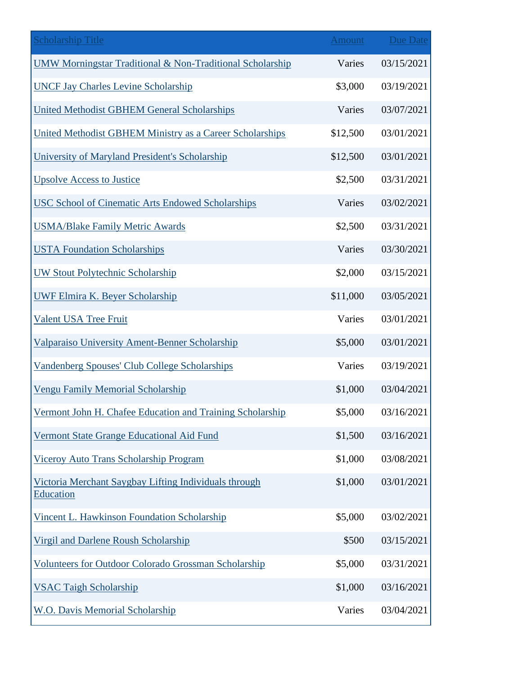| <b>Scholarship Title</b>                                                  | <b>Amount</b> | <b>Due Date</b> |
|---------------------------------------------------------------------------|---------------|-----------------|
| <b>UMW Morningstar Traditional &amp; Non-Traditional Scholarship</b>      | Varies        | 03/15/2021      |
| <b>UNCF Jay Charles Levine Scholarship</b>                                | \$3,000       | 03/19/2021      |
| <b>United Methodist GBHEM General Scholarships</b>                        | Varies        | 03/07/2021      |
| United Methodist GBHEM Ministry as a Career Scholarships                  | \$12,500      | 03/01/2021      |
| University of Maryland President's Scholarship                            | \$12,500      | 03/01/2021      |
| <b>Upsolve Access to Justice</b>                                          | \$2,500       | 03/31/2021      |
| USC School of Cinematic Arts Endowed Scholarships                         | Varies        | 03/02/2021      |
| <b>USMA/Blake Family Metric Awards</b>                                    | \$2,500       | 03/31/2021      |
| <b>USTA Foundation Scholarships</b>                                       | Varies        | 03/30/2021      |
| <b>UW Stout Polytechnic Scholarship</b>                                   | \$2,000       | 03/15/2021      |
| <b>UWF Elmira K. Beyer Scholarship</b>                                    | \$11,000      | 03/05/2021      |
| Valent USA Tree Fruit                                                     | Varies        | 03/01/2021      |
| Valparaiso University Ament-Benner Scholarship                            | \$5,000       | 03/01/2021      |
| <b>Vandenberg Spouses' Club College Scholarships</b>                      | Varies        | 03/19/2021      |
| <b>Vengu Family Memorial Scholarship</b>                                  | \$1,000       | 03/04/2021      |
| Vermont John H. Chafee Education and Training Scholarship                 | \$5,000       | 03/16/2021      |
| Vermont State Grange Educational Aid Fund                                 | \$1,500       | 03/16/2021      |
| Viceroy Auto Trans Scholarship Program                                    | \$1,000       | 03/08/2021      |
| Victoria Merchant Saygbay Lifting Individuals through<br><b>Education</b> | \$1,000       | 03/01/2021      |
| Vincent L. Hawkinson Foundation Scholarship                               | \$5,000       | 03/02/2021      |
| Virgil and Darlene Roush Scholarship                                      | \$500         | 03/15/2021      |
| <b>Volunteers for Outdoor Colorado Grossman Scholarship</b>               | \$5,000       | 03/31/2021      |
| <b>VSAC Taigh Scholarship</b>                                             | \$1,000       | 03/16/2021      |
| <b>W.O. Davis Memorial Scholarship</b>                                    | Varies        | 03/04/2021      |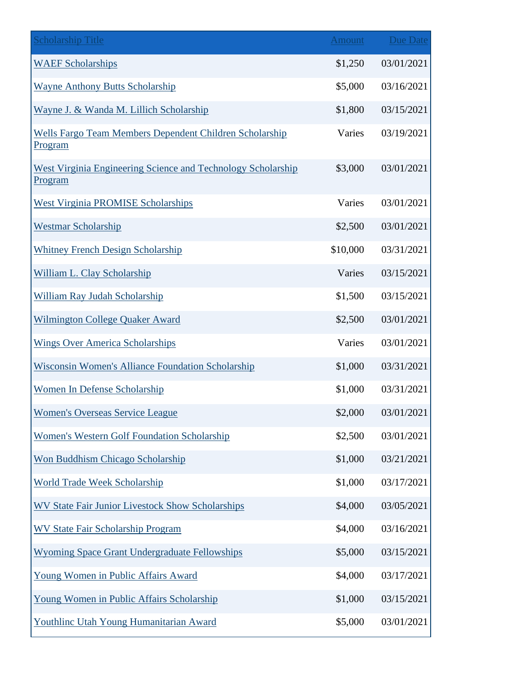| <b>Scholarship Title</b>                                                  | <b>Amount</b> | Due Date   |
|---------------------------------------------------------------------------|---------------|------------|
| <b>WAEF Scholarships</b>                                                  | \$1,250       | 03/01/2021 |
| <b>Wayne Anthony Butts Scholarship</b>                                    | \$5,000       | 03/16/2021 |
| Wayne J. & Wanda M. Lillich Scholarship                                   | \$1,800       | 03/15/2021 |
| Wells Fargo Team Members Dependent Children Scholarship<br><u>Program</u> | Varies        | 03/19/2021 |
| West Virginia Engineering Science and Technology Scholarship<br>Program   | \$3,000       | 03/01/2021 |
| <b>West Virginia PROMISE Scholarships</b>                                 | Varies        | 03/01/2021 |
| <b>Westmar Scholarship</b>                                                | \$2,500       | 03/01/2021 |
| <b>Whitney French Design Scholarship</b>                                  | \$10,000      | 03/31/2021 |
| William L. Clay Scholarship                                               | Varies        | 03/15/2021 |
| William Ray Judah Scholarship                                             | \$1,500       | 03/15/2021 |
| <b>Wilmington College Quaker Award</b>                                    | \$2,500       | 03/01/2021 |
| <b>Wings Over America Scholarships</b>                                    | Varies        | 03/01/2021 |
| <b>Wisconsin Women's Alliance Foundation Scholarship</b>                  | \$1,000       | 03/31/2021 |
| <b>Women In Defense Scholarship</b>                                       | \$1,000       | 03/31/2021 |
| <b>Women's Overseas Service League</b>                                    | \$2,000       | 03/01/2021 |
| <b>Women's Western Golf Foundation Scholarship</b>                        | \$2,500       | 03/01/2021 |
| Won Buddhism Chicago Scholarship                                          | \$1,000       | 03/21/2021 |
| <b>World Trade Week Scholarship</b>                                       | \$1,000       | 03/17/2021 |
| <b>WV State Fair Junior Livestock Show Scholarships</b>                   | \$4,000       | 03/05/2021 |
| <b>WV State Fair Scholarship Program</b>                                  | \$4,000       | 03/16/2021 |
| <b>Wyoming Space Grant Undergraduate Fellowships</b>                      | \$5,000       | 03/15/2021 |
| Young Women in Public Affairs Award                                       | \$4,000       | 03/17/2021 |
| Young Women in Public Affairs Scholarship                                 | \$1,000       | 03/15/2021 |
| Youthline Utah Young Humanitarian Award                                   | \$5,000       | 03/01/2021 |